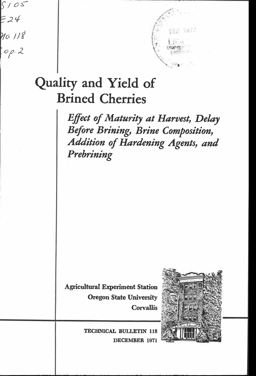



# Quality and Yield of Brined Cherries

Effect of Maturity at Harvest, Delay Before Brining, Brine Composition, Addition of Hardening Agents, and Prebrining

Agricultural Experiment Station Oregon State University **Corvallis** 



TECHNICAL BULLETIN 118 DECEMBER 1971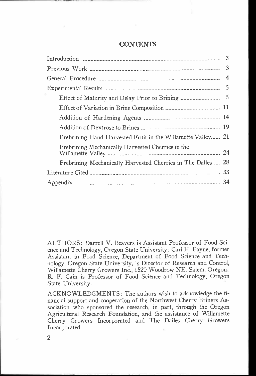# **CONTENTS**

AUTHORS: Darrell V. Beavers is Assistant Professor of Food Science and Technology, Oregon State University; Carl H. Payne, former Assistant in Food Science, Department of Food Science and Technology, Oregon State University, is Director of Research and Control, Willamette Cherry Growers Inc., 1520 Woodrow NE, Salem, Oregon; R. F. Cain is Professor of Food Science and Technology, Oregon State University.

ACKNOWLEDGMENTS: The authors wish to acknowledge the financial support and cooperation of the Northwest Cherry Briners Association who sponsored the research, in part, through the Oregon Agricultural Research Foundation, and the assistance of Willamette Cherry Growers Incorporated and The Dalles Cherry Growers Incorporated.

 $\overline{2}$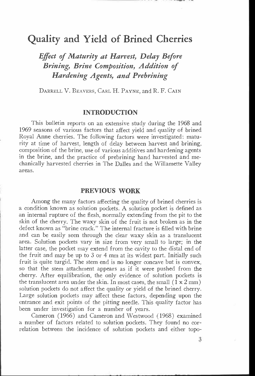# Quality and Yield of Brined Cherries

Effect of Maturity at Harvest, Delay Before Brining, Brine Composition, Addition of Hardening Agents, and Prebrining

DARRELL V. BEAVERS, CARL H. PAYNE, and R. F. CAIN

# INTRODUCTION

This bulletin reports on an extensive study during the 1968 and 1969 seasons of various factors that affect yield and quality of brined Royal Anne cherries. The following factors were investigated: maturity at time of harvest, length of delay between harvest and brining, composition of the brine, use of various additives and hardening agents in the brine, and the practice of prebrining hand harvested and mechanically harvested cherries in The Dalles and the Willamette Valley areas.

# PREVIOUS WORK

Among the many factors affecting the quality of brined cherries is a condition known as solution pockets. A solution pocket is defined as an internal rupture of the flesh, normally extending from the pit to the skin of the cherry. The waxy skin of the fruit is not broken as in the defect known as "brine crack." The internal fracture is filled with brine and can be easily seen through the clear waxy skin as a translucent area. Solution pockets vary in size from very small to large; in the latter case, the pocket may extend from the cavity to the distal end of the fruit and may be up to 3 or 4 mm at its widest part. Initially such fruit is quite turgid. The stem end is no longer concave but is convex, so that the stem attachment appears as if it were pushed from the cherry. After equilibration, the only evidence of solution pockets is the translucent area under the skin. In most cases, the small  $(1 \times 2 \text{ mm})$ solution pockets do not affect the quality or yield of the brined cherry. Large solution pockets may affect these factors, depending upon the entrance and exit points of the pitting needle. This quality factor has been under investigation for a number of years.

Cameron (1966) and Cameron and Westwood (1968) examined a number of factors related to solution pockets. They found no correlation between the incidence of solution pockets and either topo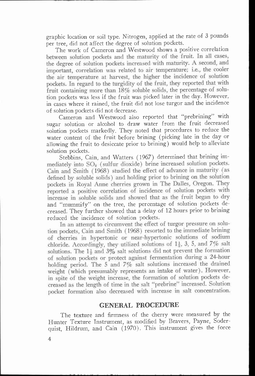graphic location or soil type. Nitrogen, applied at the rate of 3 pounds per tree, did not affect the degree of solution pockets.

between solution pockets and the maturity of the fruit. In all cases, the degree of solution pockets increased with maturity. A second, and important, correlation was related to air temperature; i.e., the cooler the air temperature at harvest, the higher the incidence of solution pockets. In regard to the turgidity of the fruit, they reported that with fruit containing more than 18% soluble solids, the percentage of solu-The work of Cameron and Westwood shows a positive correlation tion pockets was less if the fruit was picked later in the day. However, in cases where it rained, the fruit did not lose turgor and the incidence of solution pockets did not decrease.

Cameron and Westwood also reported that "prebrining" with sugar solution or alcohol to draw water from the fruit decreased solution pockets markedly. They noted that procedures to reduce the water content of the fruit before brining (picking late in the day or allowing the fruit to desiccate prior to brining) would help to alleviate solution pockets.

mediately into SO<sub>2</sub> (sulfur dioxide) brine increased solution pockets. Cain and Smith ( 1968) studied the effect of advance in maturity (as defined by soluble solids) and holding prior to brining on the solution pockets in Royal Anne cherries grown in The Dalles, Oregon. They reported a positive correlation of incidence of solution pockets with increase in soluble solids and showed that as the fruit began to dry Stebbins, Cain, and Watters (1967) determined that brining imand "mummify" on the tree, the percentage of solution pockets decreased. They further showed that a delay of 12 hours prior to brining reduced the incidence of solution pockets.

In an attempt to circumvent the effect of turgor pressure on solution pockets, Cain and Smith (1968) resorted to the immediate brining of cherries in hypertonic or near-hypertonic solutions of sodium chloride. Accordingly, they utilized solutions of  $1\frac{1}{2}$ , 3, 5, and 7% salt solutions. The  $1\frac{1}{3}$  and  $3\%$  salt solutions did not prevent the formation of solution pockets or protect against fermentation during a 24-hour holding period. The 5 and 7% salt solutions increased the drained weight (which presumably represents an intake of water). However. in spite of the weight increase, the formation of solution pockets decreased as the length of time in the salt "prebrine" increased. Solution pocket formation also decreased with increase in salt concentration.

#### GENERAL PROCEDURE

The texture and firmness of the cherry were measured by the Hunter Texture Instrument, as modified by Beavers, Payne, Soderquist, Hildrum, and Cain (1970). This instrument gives the force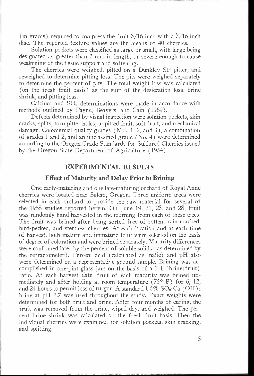(in grams) required to compress the fruit  $3/16$  inch with a  $7/16$  inch disc. The reported texture values are the means of 40 cherries.

Solution pockets were classified as large or small, with large being designated as greater than 2 mm in length, or severe enough to cause weakening of the tissue support and softening.

The cherries were weighed, pitted on a Dunkley SP pitter, and reweighed to determine pitting loss. The pits were weighed separately to determine the percent of pits. The total weight loss was calculated (on the fresh fruit basis) as the sum of the desiccation loss, brine shrink, and pitting loss.

Calcium and  $SO<sub>2</sub>$  determinations were made in accordance with methods outlined by Payne, Beavers, and Cain (1969).

Defects determined by visual inspection were solution pockets, skin cracks, splits, torn pitter holes, unpitted fruit, soft fruit, and mechanical damage. Commercial quality grades (Nos. 1, 2, and 3), a combination of grades 1 and 2, and an unclassified grade (No. 4) were determined according to the Oregon Grade Standards for Sulfured Cherries issued by the Oregon State Department of Agriculture (1954).

#### EXPERIMENTAL RESULTS

#### Effect of Maturity and Delay Prior to Brining

One early-maturing and one late-maturing orchard of Royal Anne cherries were located near Salem, Oregon. Three uniform trees were selected in each orchard to provide the raw material for several of the 1968 studies reported herein. On June 19, 21, 25, and 28, fruit was randomly hand harvested in the morning from each of these trees. The fruit was brined after being sorted free of rotten, rain-cracked, bird-pecked, and stemless cherries. At each location and at each time of harvest, both mature and immature fruit were selected on the basis of degree of coloration and were brined separately. Maturity differences were confirmed later by the percent of soluble solids (as determined by the refractometer). Percent acid (calculated as malic) and pH also were determined on a representative ground sample. Brining was accomplished in one-pint glass jars on the basis of a 1:1 (brine: fruit) ratio. At each harvest date, fruit of each maturity was brined immediately and after holding at room temperature (75 $\degree$  F) for 6, 12, and 24 hours to permit loss of turgor. A standard  $1.5\%$  SO<sub>2</sub>-Ca (OH)<sub>2</sub> brine at pH 2.7 was used throughout the study. Exact weights were determined for both fruit and brine. After four months of curing, the fruit was removed from the brine, wiped dry, and weighed. The percent brine shrink was calculated on the fresh fruit basis. Then the individual cherries were examined for solution pockets, skin cracking, and splitting.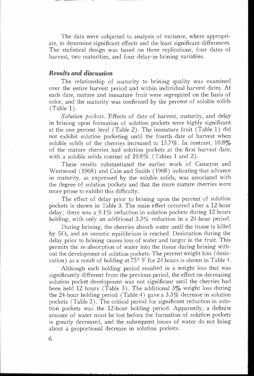The data were subjected to analysis of variance, where appropriate, to determine significant effects and the least significant differences. The statistical design was based on three replications, four dates of harvest, two maturities, and four delay-in-brining variables.

#### Results and discussion

The relationship of maturity to brining quality was examined over the entire harvest period and within individual harvest dates. At each date, mature and immature fruit were segregated on the basis of color, and the maturity was confirmed by the percent of soluble solids (Table 1).

Solution pockets. Effects of date of harvest, maturity, and delay in brining upon formation of solution pockets were highly significant at the one percent level (Table 2). The immature fruit (Table 1) did not exhibit solution pocketing until the fourth date of harvest when soluble solids of the cherries increased to  $15.7\%$ . In contrast,  $10.8\%$ of the mature cherries had solution pockets at the first harvest date, with a soluble solids content of 19.8% (Tables 1 and 2).

These results substantiated the earlier work of Cameron and Westwood (1968) and Cain and Smith (1968) indicating that advance in maturity, as expressed by the soluble solids, was associated with the degree of solution pockets and that the more mature cherries were more prone to exhibit this difficulty.

The effect of delay prior to brining upon the percent of solution pockets is shown in Table 3. The main effect occurred after a 12-hour delay; there was a  $9.1\%$  reduction in solution pockets during 12 hours holding, with only an additional 3.3% reduction in a 24-hour period.

During brining, the cherries absorb water until the tissue is killed by  $SO<sub>2</sub>$  and an osmotic equilibrium is reached. Desiccation during the delay prior to brining causes loss of water and turgor in the fruit. This permits the re-absorption of water into the tissue during brining without the development of solution pockets. The percent weight loss (desiccation) as a result of holding at  $75^{\circ}$  F for 24 hours is shown in Table 4.

Although each holding period resulted in a weight loss that was significantly different from the previous period, the effect on decreasing solution pocket development was not significant until the cherries had been held 12 hours (Table 3). The additional 3% weight loss during the 24-hour holding period (Table 4) gave a 3.3% decrease in solution pockets (Table 3). The critical period for significant reduction in solution pockets was the 12-hour holding period. Apparently, a definite amount of water must be lost before the formation of solution pockets is greatly decreased, and the subsequent losses of water do not bring about a proportional decrease in solution pockets.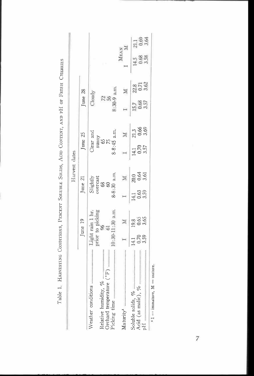|                                                             |             |                                                  |                                 | Harvest dates                                      |              |                           |               |                      |                |                      |
|-------------------------------------------------------------|-------------|--------------------------------------------------|---------------------------------|----------------------------------------------------|--------------|---------------------------|---------------|----------------------|----------------|----------------------|
|                                                             |             | June 19                                          |                                 | June 21                                            |              | June 25                   | June 28       |                      |                |                      |
| <br>Orchard temperature (°F)<br>Weather conditions          |             | prior to picking<br>96<br>Light rain 1 hr.<br>61 |                                 | Slightly<br>overcast<br>$\frac{8}{6}$<br>$\otimes$ |              | Clear and<br>$rac{3}{65}$ | Cloudy<br>256 |                      |                |                      |
| Picking time                                                |             | 10:30-11:30 a.m.                                 |                                 | $8-8:30$ a.m.                                      |              | 8-8:45 a.m.               | $8:30-9$ a.m. |                      |                |                      |
| <br>Maturity <sup>1</sup>                                   |             |                                                  |                                 |                                                    |              |                           |               |                      | MEAN           | Z                    |
| Acid (as malic), $\%$ $\rightarrow$<br>Soluble solids, %    | 0.70<br>141 | 0.65<br>19.8                                     | 0.63<br>3.59<br>$\overline{41}$ | $0.64$<br>3.61<br>20,0                             | 0.70<br>14.1 | $\frac{21.3}{0.66}$       | 0.68<br>3.57  | 22.8<br>0.71<br>3.62 | $\frac{45}{3}$ | 21.1<br>0.69<br>3.64 |
| $\delta H$ . The components of the components of $\delta H$ | 3.59        | 3.65                                             |                                 |                                                    | 3.57         |                           |               |                      | 3.58           |                      |

 $\overline{7}$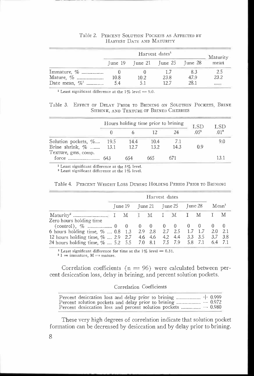|                              |      |      | Harvest dates <sup>1</sup>              |      | Maturity |
|------------------------------|------|------|-----------------------------------------|------|----------|
|                              |      |      | Tune $19$ Tune $21$ Tune $25$ Tune $28$ |      | mean     |
| Immature, %                  |      |      |                                         |      |          |
| Mature, %                    | 10.8 | 10.2 | 23.8                                    | 47.9 | 23.2     |
| Date mean, $\%$ <sup>1</sup> | 54   |      | 127                                     | 28.1 | ******   |

#### Table 2. PERCENT SOLUTION POCKETS AS AFFECTED BY HARVEST DATE AND MATURITY

<sup>1</sup> Least significant difference at the  $1\%$  level = 9.0.

Table 3. EFFECT OF DELAY PRIOR TO BRINING ON SOLUTION POCKETS, BRINE SHRINK, AND TEXTURE OF BRINED CHERRIES

|                         |      | Hours holding time prior to brining |      |      | <b>LSD</b> | LSD             |
|-------------------------|------|-------------------------------------|------|------|------------|-----------------|
|                         |      |                                     |      | 24   | 051        | 01 <sup>2</sup> |
| Solution pockets, %     | 19.5 | 14.4                                | 10.4 | 7.1  |            | 9.0             |
| Brine shrink, $\%$ 13.1 |      | 12.7                                | 13.2 | 14.3 | 0.9        |                 |
| Texture, gms, comp.     |      |                                     |      |      |            |                 |
|                         | 643  | 654                                 | 665  |      |            |                 |

<sup>1</sup> Least significant difference at the  $5\%$  level.

<sup>2</sup> Least significant difference at the 1% level.

|                                                                                                                                        |                                 | Harvest dates |  |  |                   |  |
|----------------------------------------------------------------------------------------------------------------------------------------|---------------------------------|---------------|--|--|-------------------|--|
|                                                                                                                                        | June 19 June 21 June 25 June 28 |               |  |  | Mean <sup>1</sup> |  |
|                                                                                                                                        |                                 |               |  |  |                   |  |
| Zero hours holding time                                                                                                                |                                 |               |  |  |                   |  |
|                                                                                                                                        |                                 |               |  |  |                   |  |
| 6 hours holding time, %  0.8 1.3 2.9 2.8 2.7 2.5 1.7 1.7 2.0 2.1                                                                       |                                 |               |  |  |                   |  |
| 12 hours holding time, %  2.9 2.7 4.6 4.6 4.2 4.4 3.3 3.5 3.7 3.8<br>24 hours holding time, %  5.2 5.5 7.0 8.1 7.5 7.9 5.8 7.1 6.4 7.1 |                                 |               |  |  |                   |  |

<sup>1</sup> Least significant difference for time at the 1% level = 0.31. <sup>2</sup> I = immature, M = mature.

Correlation coefficients ( $n = 96$ ) were calculated between percent desiccation loss, delay in brining, and percent solution pockets.

#### Correlation Coefficients

These very high degrees of correlation indicate that solution pocket formation can be decreased by desiccation and by delay prior to brining.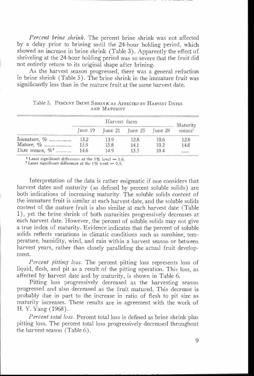Percent brine shrink. The percent brine shrink was not affected by a delay prior to brining until the 24-hour holding period, which showed an increase in brine shrink (Table 3). Apparently the effect of shriveling at the 24-hour holding period was so severe that the fruit did not entirely return to its original shape after brining.

As the harvest season progressed, there was a general reduction in brine shrink (Table 5). The brine shrink in the immature fruit was significantly less than in the mature fruit at the same harvest date.

|                    |                         | Harvest dates |                         |      | Maturity           |
|--------------------|-------------------------|---------------|-------------------------|------|--------------------|
|                    | $\lceil$ une $\lceil$ 9 |               | June 21 June 25 June 28 |      | means <sup>1</sup> |
| Immature, %        | 13.2                    | 13.9          | 12.8                    | 10.6 | 12.6               |
| Mature, %          | 15.9                    | 15.8          | 14.1                    | 10.2 | 14.0               |
| Date means, $\%^2$ | 14.6                    | 14.9          | 13.5                    | 10.4 | ******             |

Table 5. PERCENT BRINE SHRINK AS AFFECTED BY HARVEST DATES AND MATURITY

<sup>1</sup> Least significant difference at the 1% level = 0.6.

<sup>2</sup> Least significant difference at the  $1\%$  level = 0.9.

Interpretation of the data is rather enigmatic if one considers that harvest dates and maturity (as defined by percent soluble solids) are both indications of increasing maturity. The soluble solids content of the immature fruit is similar at each harvest date, and the soluble solids content of the mature fruit is also similar at each harvest date (Table 1), yet the brine shrink of both maturities progressively decreases at each harvest date. However, the percent of soluble solids may not give a true index of maturity. Evidence indicates that the percent of soluble solids reflects variations in climatic conditions such as sunshine, temperature, humidity, wind, and rain within a harvest season or between harvest years, rather than closely paralleling the actual fruit development.

Percent pitting loss. The percent pitting loss represents loss of liquid, flesh, and pit as a result of the pitting operation. This loss, as affected by harvest date and by maturity, is shown in Table 6.

Pitting loss progressively decreased as the harvesting season progressed and also decreased as the fruit matured. This decrease is probably due in part to the increase in ratio of flesh to pit size as maturity increases. These results are in agreement with the work of H. Y. Yang (1968).

Percent total loss. Percent total loss is defined as brine shrink plus pitting loss. The percent total loss progressively decreased throughout the harvest season (Table 6).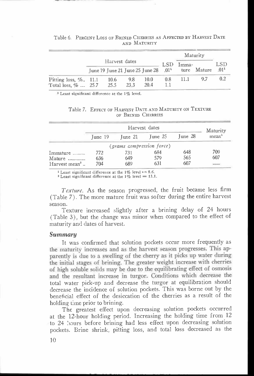|                           |                                 |               |      |      |           | Maturity |             |                  |  |
|---------------------------|---------------------------------|---------------|------|------|-----------|----------|-------------|------------------|--|
|                           |                                 | Harvest dates |      |      | LSD       | Imma-    |             | LSD              |  |
|                           | June 19 June 21 June 25 June 28 |               |      |      | $.01^{4}$ |          | ture Mature | .01 <sup>1</sup> |  |
| Pitting loss, $\%$ . 11.1 |                                 | 10.6          | 9.8  | 10.0 | 0.8       |          | 97          | 0.2              |  |
| Total loss, $\%$ 25.7     |                                 | 25.5          | 23.3 | 20.4 |           |          |             |                  |  |

Table 6. PERCENT Loss OF BRINED CHERRIES AS AFFECTED BY HARVEST DATE AND MATURITY

1 Least significant difference at the 1% level.

| Table 7. EFFECT OF HARVEST DATE AND MATURITY ON TEXTURE |
|---------------------------------------------------------|
| OF BRINED CHERRIES                                      |

|                           |         |                           | Harvest dates     |         | Maturity          |
|---------------------------|---------|---------------------------|-------------------|---------|-------------------|
|                           | June 19 | June 21                   | $\text{June } 25$ | June 28 | mean <sup>1</sup> |
|                           |         | (grams compression force) |                   |         |                   |
| Immature                  | 772     | 731                       | 684               | 648     | 709               |
| Mature                    | 636     | 649                       | 579               | 565     | 607               |
| Harvest mean <sup>2</sup> | 704     | 689                       | 631               | 607     |                   |

<sup>1</sup> Least significant difference at the 1% level = 8.6. <sup>2</sup> Least significant difference at the  $1\%$  level = 13.1.

Texture. As the season progressed, the fruit became less firm (Table 7). The more mature fruit was softer during the entire harvest season.

Texture increased slightly after a brining delay of 24 hours (Table 3), but the change was minor when compared to the effect of maturity and dates of harvest.

#### Summary

the maturity increases and as the harvest season progresses. This apparently is due to a swelling of the cherry as it picks up water during the initial stages of brining. The greater weight increase with cherries of high soluble solids may be due to the equilibrating effect of osmosis and the resultant increase in turgor. Conditions which decrease the It was confirmed that solution pockets occur more frequently as total water pick-up and decrease the turgor at equilibration should decrease the incidence of solution pockets. This was borne out by the beneficial effect of the desiccation of the cherries as a result of the holding time prior to brining.

The greatest effect upon decreasing solution pockets occurred at the 12-hour holding period. Increasing the holding time from 12 to 24 hours before brining had less effect upon decreasing solution pockets. Brine shrink, pitting loss, and total loss decreased as the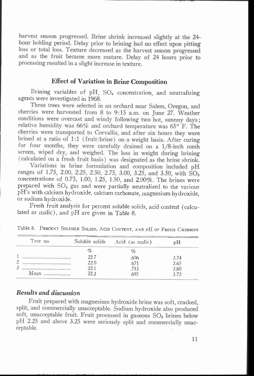harvest season progressed. Brine shrink increased slightly at the 24 hour holding period. Delay prior to brining had no effect upon pitting loss or total loss. Texture decreased as the harvest season progressed and as the fruit became more mature. Delay of 24 hours prior to processing resulted in a slight increase in texture.

# Effect of Variation in Brine Composition

Brining variables of  $pH$ ,  $SO<sub>2</sub>$  concentration, and neutralizing agents were investigated in 1968.

Three trees were selected in an orchard near Salem, Oregon, and cherries were harvested from 8 to 9:15 a.m, on June 27. Weather conditions were overcast and windy following two hot, sunnny days; relative humidity was 66% and orchard temperature was 65° F. The cherries were transported to Corvallis, and after six hours they were brined at a ratio of 1:1 (fruit:brine) on a weight basis. After curing for four months, they were carefully drained on a 1/8-inch mesh screen, wiped dry, and weighed. The loss in weight during brining (calculated on a fresh fruit basis) was designated as the brine shrink.

Variations in brine formulation and composition included pH ranges of 1.75, 2.00, 2.25, 2.50, 2.75, 3.00, 3.25, and 3.50, with SO<sub>2</sub> concentrations of 0.75, 1.00, 1.25, 1.50, and 2.00%. The brines were prepared with  $SO<sub>2</sub>$  gas and were partially neutralized to the various pH's with calcium hydroxide, calcium carbonate, magnesium hydroxide, or sodium hydroxide.

Fresh fruit analysis for percent soluble solids, acid content (calculated as malic), and pH are given in Table 8.

| Tree no. | Soluble solids | Acid (as malic) | υH   |  |
|----------|----------------|-----------------|------|--|
|          | %              | $\%$            |      |  |
|          | 22.7           | .696            | 3.74 |  |
|          | 22.0           | .671            | 3.65 |  |
|          | 22.1           | .715            | 3.80 |  |
| Mean     | 22.3           | .695            | っっっ  |  |

Table 8. PERCENT SOLUBLE SOLIDS, ACID CONTENT, AND PH OF FRESH CHERRIES

# Results and discussion

Fruit prepared with magnesium hydroxide brine was soft, cracked, split, and commercially unacceptable. Sodium hydroxide also produced soft, unacceptable fruit. Fruit processed in gaseous SO<sub>2</sub> brines below pH 2.25 and above 3.25 were seriously split and commercially unacceptable.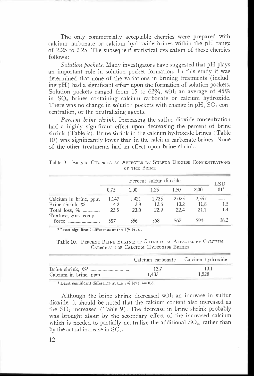The only commercially acceptable cherries were prepared with calcium carbonate or calcium hydroxide brines within the pH range of 2.25 to 3.25. The subsequent statistical evaluation of these cherries follows:

Solution pockets. Many investigators have suggested that pH plays an important role in solution pocket formation. In this study it was determined that none of the variations in brining treatments (including pH) had a significant effect upon the formation of solution pockets. Solution pockets ranged from 15 to 62%, with an average of  $45\%$ in SO2 brines containing calcium carbonate or calcium hydroxide. There was no change in solution pockets with change in  $pH$ ,  $SO<sub>2</sub>$  concentration, or the neutralizing agents.

Percent brine shrink. Increasing the sulfur dioxide concentration had a highly significant effect upon decreasing the percent of brine shrink (Table 9). Brine shrink in the calcium hydroxide brines (Table 10) was significantly lower than in the calcium carbonate brines. None of the other treatments had an effect upon brine shrink.

Table 9. BRINED CHERRIES AS AFFECTED BY SULFUR DIOXIDE CONCENTRATIONS OF THE BRINE

|                              |       |       | Percent sulfur dioxide |       |       | LSD              |  |  |
|------------------------------|-------|-------|------------------------|-------|-------|------------------|--|--|
|                              | 0.75  | 1.00  | 1.25                   | 1.50  | 2.00  | .01 <sup>1</sup> |  |  |
| Calcium in brine, ppm        | 1.147 | 1,421 | 1,735                  | 2.025 | 2.557 |                  |  |  |
| Brine shrink, $\%$           | 14.3  | 13.9  | 13.6                   | 13.2  | 11.8  | 1.5              |  |  |
| Total loss, $\%$             | 23.5  | 23.0  | 22.9                   | 22.4  | 21.1  | 1.4              |  |  |
| Texture, gms. comp.<br>force | 557   | 556   | 568                    | 567   |       | 26.2             |  |  |

<sup>1</sup> Least significant difference at the 1% level.

| Table 10. PERCENT BRINE SHRINK OF CHERRIES AS AFFECTED BY CALCIUM |
|-------------------------------------------------------------------|
| CARBONATE OR CALCIUM HYDROXIDE BRINES                             |

|       | Calcium carbonate Calcium hydroxide |
|-------|-------------------------------------|
| 13.7  | 13.1                                |
| 1.433 | 1.528                               |

<sup>1</sup> Least significant difference at the 5% level = 0.6.

Although the brine shrink decreased with an increase in sulfur dioxide, it should be noted that the calcium content also increased as the  $SO<sub>2</sub>$  increased (Table 9). The decrease in brine shrink probably was brought about by the secondary effect of the increased calcium which is needed to partially neutralize the additional  $SO_2$ , rather than by the actual increase in  $SO<sub>2</sub>$ .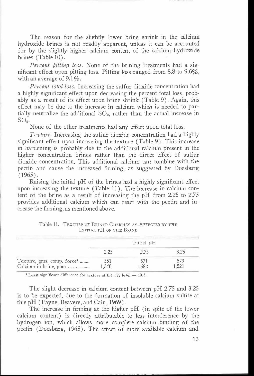The reason for the slightly lower brine shrink in the calcium hydroxide brines is not readily apparent, unless it can be accounted for by the slightly higher calcium content of the calcium hydroxide brines (Table 10).

Percent pitting loss. None of the brining treatments had a significant effect upon pitting loss. Pitting loss ranged from 8.8 to 9.6%, with an average of  $9.1\%$ .

Percent total loss. Increasing the sulfur dioxide concentration had a highly significant effect upon decreasing the percent total loss, probably as a result of its effect upon brine shrink (Table 9). Again, this effect may be due to the increase in calcium which is needed to partially neutralize the additional  $SO_2$ , rather than the actual increase in  $SO<sub>2</sub>$ .

None of the other treatments had any effect upon total loss.

Texture. Increasing the sulfur dioxide concentration had a highly significant effect upon increasing the texture (Table 9). This increase in hardening is probably due to the additional calcium present in the higher concentration brines rather than the direct effect of sulfur dioxide concentration. This additional calcium can combine with the pectin and cause the increased firming, as suggested by Doesburg (1965).

Raising the initial pH of the brines had a highly significant effect upon increasing the texture (Table 11). The increase in calcium content of the brine as a result of increasing the pH from 2.25 to 2.75 provides additional calcium which can react with the pectin and increase the firming, as mentioned above.

|                                        |      | Initial pH |  |
|----------------------------------------|------|------------|--|
|                                        | 2.25 |            |  |
| Texture, gms. comp. force <sup>1</sup> | 551  |            |  |
| Calcium in brine, ppm                  | .340 | 1.582      |  |

Table 11. TEXTURE OF BRINED CHERRIES AS AFFECTED BY THE INITIAL PH OF THE BRINE

<sup>1</sup> Least significant difference for texture at the  $1\%$  level = 19.3.

The slight decrease in calcium content between pH 2.75 and 3.25 is to be expected, due to the formation of insoluble calcium sulfite at this pH (Payne, Beavers, and Cain, 1969).

The increase in firming at the higher pH (in spite of the lower calcium content) is directly attributable to less interference by the hydrogen ion, which allows more complete calcium binding of the pectin (Doesburg, 1965). The effect of more available calcium and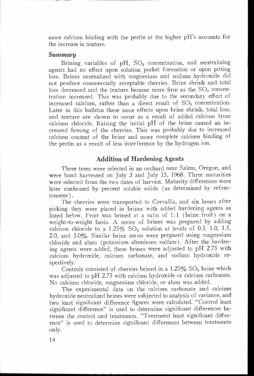more calcium binding with the pectin at the higher pH's accounts for the increase in texture.

#### Summary

Brining variables of  $pH$ ,  $SO<sub>2</sub>$  concentration, and neutralizing agents had no effect upon solution pocket formation or upon pitting loss. Brines neutralized with magnesium and sodium hydroxide did not produce commercially acceptable cherries. Brine shrink and total loss decreased and the texture became more firm as the  $SO<sub>2</sub>$  concentration increased. This was probably due to the secondary effect of increased calcium, rather than a direct result of  $SO<sub>2</sub>$  concentration. Later in this bulletin these same effects upon brine shrink, total loss, and texture are shown to occur as a result of added calcium from calcium chloride. Raising the initial pH of the brine caused an increased firming of the cherries. This was probably due to increased calcium content of the brine and more complete calcium binding of the pectin as a result of less interference by the hydrogen ion.

## Addition of Hardening Agents

Three trees were selected in an orchard near Salem, Oregon, and were hand harvested on July 3 and July 15, 1968. Three maturities were selected from the two dates of harvest. Maturity differences were later confirmed by percent soluble solids (as determined by refractometer) .

The cherries were transported to Corvallis, and six hours after picking they were placed in brines with added hardening agents as listed below. Fruit was brined at a ratio of 1:1 (brine:fruit) on a weight-to-weight basis. A series of brines was prepared by adding calcium chloride to a  $1.25\%$  SO<sub>2</sub> solution at levels of 0.5, 1.0, 1.5, 2.0, and 3.0%. Similar brine series were prepared using magnesium chloride and alum (potassium aluminum sulfate). After the hardening agents were added, these brines were adjusted to pH 2.75 with calcium hydroxide, calcium carbonate, and sodium hydroxide respectively.

Controls consisted of cherries brined in a  $1.25\%$  SO<sub>2</sub> brine which was adjusted to pH 2.75 with calcium hydroxide or calcium carbonate. No calcium chloride, magnesium chloride, or alum was added.

The experimental data on the calcium carbonate and calcium hydroxide neutralized brines were subjected to analysis of variance, and two least significant difference figures were calculated. "Control least significant difference" is used to determine significant differences between the control and treatments. "Treatment least significant difference" is used to determine significant differences between treatments only.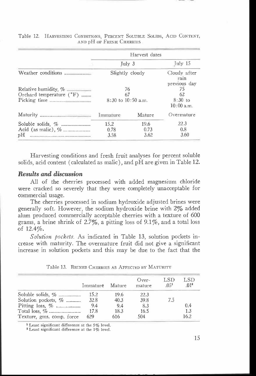|                                   |                                    | Harvest dates        |                                       |
|-----------------------------------|------------------------------------|----------------------|---------------------------------------|
|                                   | Tulv <sub>3</sub>                  |                      | $\lceil$ uly 15                       |
|                                   | Slightly cloudy                    |                      | Cloudy after<br>rain<br>previous day  |
| Orchard temperature $(^{\circ}F)$ | 76<br>67<br>$8:30$ to $10:50$ a.m. |                      | 75<br>62<br>$8:30$ to<br>$10:00$ a.m. |
|                                   | Immature                           | Mature               | Overmature                            |
| рH                                | 15.2<br>0.78<br>3.58               | 19.6<br>0.73<br>3.62 | 22.3<br>0.8<br>3.60                   |

Table 12. HARVESTING CONDITIONS, PERCENT SOLUBLE SOLIDS, ACID CONTENT, AND **DH** OF FRESH CHERRIES

Harvesting conditions and fresh fruit analyses for percent soluble solids, acid content (calculated as malic), and pH are given in Table 12.

# Results and discussion

All of the cherries processed with added magnesium chloride were cracked so severely that they were completely unacceptable for commercial usage.

The cherries processed in sodium hydroxide adjusted brines were generally soft. However, the sodium hydroxide brine with  $2\%$  added alum produced commercially acceptable cherries with a texture of 600 grams, a brine shrink of  $2.7\%$ , a pitting loss of  $9.1\%$ , and a total loss of 12.4%.

Solution pockets. As indicated in Table 13, solution pockets increase with maturity. The overmature fruit did not give a significant increase in solution pockets and this may be due to the fact that the

|                           | Immature | Mature | $Over-$<br>mature | LSD<br>.05 <sup>1</sup> | LSD.<br>$.01^2$ |
|---------------------------|----------|--------|-------------------|-------------------------|-----------------|
|                           | 15.2     | 19.6   | 22.3              |                         |                 |
| Solution pockets, $\%$    | 32.8     | 40.3   | 39.8              | 7.5                     |                 |
|                           | 9.4      | 9.4    | 8.3               |                         | 0.4             |
|                           | 17.8     | 18.3   | 16.5              |                         | 1.3             |
| Texture, gms. comp. force | - 629    | 616    | 504               |                         | 16.2            |
|                           |          |        |                   |                         |                 |

Table 13. BRINED CHERRIES AS AFFECTED BY MATURITY

<sup>1</sup> Least significant difference at the 5% level.

<sup>2</sup> Least significant difference at the 1% level.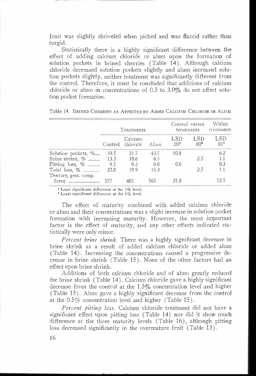fruit was slightly shriveled when picked and was flaccid rather than turgid.

Statistically there is a highly significant difference between the effect of adding calcium chloride or alum upon the formation of solution pockets in brined cherries (Table 14). Although calcium chloride decreased solution pockets slightly and alum increased solution pockets slightly, neither treatment was significantly different from the control. Therefore, it must be concluded that additions of calcium chloride or alum in concentrations of 0.5 to 3.0% do not affect solution pocket formation.

|                              |        | Treatments                  |      |                                | Control versus<br>treatments | Within<br>treatments |
|------------------------------|--------|-----------------------------|------|--------------------------------|------------------------------|----------------------|
|                              |        | Calcium<br>Control chloride | Alum | <b>LSD</b><br>.05 <sup>1</sup> | LSD<br>.01 <sup>2</sup>      | LSD<br>$.01^{1}$     |
| Solution pockets, %          | 39.5   | 31.7                        | 43.5 | 10.8                           |                              | 6.2                  |
| Brine shrink, $\%$           | 13.3   | 10.6                        | 6.5  |                                | 2.5                          | 1.1                  |
| Pitting loss, $\%$           | 9.5    | 9.2                         | 8.8  | 0.6                            |                              | 0.3                  |
| Total loss, $\%$             | - 22.8 | 19.9                        | 15.3 |                                | 2.5                          | 1.1                  |
| Texture, gms. comp.<br>force | 577    | 601                         | 565  | 21.8                           |                              | 12.5                 |

Table 14. BRINED CHERRIES AS AFFECTED BY ADDED CALCIUM CHLORIDE OR ALUM

 $1$  Least significant difference at the 5% level.

<sup>2</sup> Least significant difference at the 1% level.

The effect of maturity combined with added calcium chloride or alum and their concentrations was a slight increase in solution pocket formation with increasing maturity. However, the most important factor is the effect of maturity, and any other effects indicated statistically were only minor.

Percent brine shrink. There was a highly significant decrease in brine shrink as a result of added calcium chloride or added alum (Table 14). Increasing the concentrations caused a progressive decrease in brine shrink (Table 15). None of the other factors had an effect upon brine shrink.

Additions of both calcium chloride and of alum greatly reduced the brine shrink (Table 14). Calcium chloride gave a highly significant decrease from the control at the 1.5% concentration level and higher (Table 15). Alum gave a highly significant decrease from the control at the 0.5% concentration level and higher (Table 15).

Percent pitting loss. Calcium chloride treatment did not have a significant effect upon pitting loss (Table 14) nor did it show much difference at the three maturity levels (Table 16), although pitting loss decreased significantly in the overmature fruit (Table 13).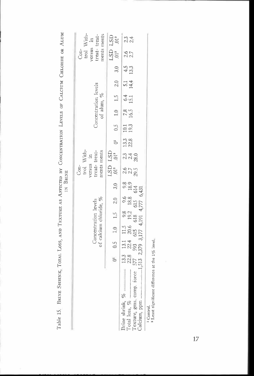| ì<br>l                                                                                                                                                                    |             |
|---------------------------------------------------------------------------------------------------------------------------------------------------------------------------|-------------|
| l<br>Ì<br>į                                                                                                                                                               | $\vdots$    |
| Ï<br>$\frac{1}{2}$<br>l                                                                                                                                                   |             |
| I                                                                                                                                                                         |             |
|                                                                                                                                                                           |             |
| ļ<br>l<br>l                                                                                                                                                               |             |
| i<br>١<br>l<br>ļ                                                                                                                                                          |             |
|                                                                                                                                                                           |             |
| ֕                                                                                                                                                                         | Í<br>ؚ<br>ا |
|                                                                                                                                                                           |             |
| ĺ<br>ı<br>I                                                                                                                                                               |             |
|                                                                                                                                                                           |             |
| ì                                                                                                                                                                         |             |
| ł                                                                                                                                                                         |             |
| l<br>$\frac{1}{2}$<br>$\frac{1}{2}$                                                                                                                                       |             |
| l<br>֧֧֧֧֧֧֧֧֧֧֧֧֧֪֧֧֧֧֪֧֧֧֧֧֚֚֚֚֚֚֚֚֚֚֚֚֚֚֚֚֚֚֚֚֚֚֚֚֚֝֝֓֝֬֝֬֝֓֝֬֝֓֝֬֝֬֝֬֝֬֝֬֝֬֝֬֝֬֝֬֝֬֝֬֝֬֝֬֝֬֝֬<br>i<br>֖֖֖֖֖֖֧֖֧֪ׅ֚֚֚֚֚֚֚֚֚֚֚֚֚֚֚֚֚֚֚֚֚֚֚֬֝֓֡֝֓֞֓֡֓֡֬<br>I             |             |
| $\frac{1}{2}$<br>$\begin{array}{c} \begin{array}{c} \begin{array}{c} \begin{array}{c} \end{array}\\ \end{array} \end{array} \end{array} \end{array}$<br>i<br><b>Table</b> |             |

|   |                                                |  | Con-                                     | trol With-       |                     |                     |                                       |               |            |                    | $Con-$                                                                 | trol With-                  |
|---|------------------------------------------------|--|------------------------------------------|------------------|---------------------|---------------------|---------------------------------------|---------------|------------|--------------------|------------------------------------------------------------------------|-----------------------------|
|   | of calcium chloride, %<br>Concentration levels |  | ments ments<br>treat-treat-<br>versus in |                  |                     |                     | Concentration levels<br>of alum, $\%$ |               |            |                    | versus in                                                              | ments ments<br>treat-treat- |
| ő | $0.5$ 1.0 1.5 2.0 3.0                          |  | LSD LSD<br>$.01^{2}$ .                   | .01 <sup>2</sup> | C <sub>1</sub>      |                     | $0.5$ 1.0 1.5 2.0                     |               |            | 3.0                | $\begin{array}{cc} \text{LSD} & \text{LSD} \\ 01^2 & 01^2 \end{array}$ |                             |
|   |                                                |  | $\frac{25}{29.5}$                        | 2340<br>238      | $\frac{13.3}{22.8}$ | $\frac{10.1}{19.3}$ | 780.5                                 | $6.4$<br>15.1 | 514<br>144 | $\frac{4.5}{13.3}$ | 2.6<br>2.7                                                             | $2, 3$<br>$2, 4$            |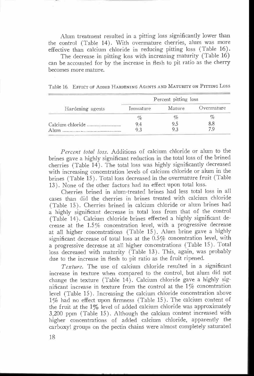Alum treatment resulted in a pitting loss significantly lower than the control (Table 14). With overmature cherries, alum was more effective than calcium chloride in reducing pitting loss (Table 16).

The decrease in pitting loss with increasing maturity (Table 16) can be accounted for by the increase in flesh to pit ratio as the cherry becomes more mature.

Table 16. EFFECT OF ADDED HARDENING AGENTS AND MATURITY ON PITTING Loss

|                  | Percent pitting loss |        |                   |  |  |  |  |
|------------------|----------------------|--------|-------------------|--|--|--|--|
| Hardening agents | Immature             | Mature |                   |  |  |  |  |
|                  | %                    | %      | Overmature<br>8.8 |  |  |  |  |
|                  | 9.4                  | 9.5    |                   |  |  |  |  |
|                  |                      |        |                   |  |  |  |  |

Percent total loss. Additions of calcium chloride or alum to the brines gave a highly significant reduction in the total loss of the brined cherries (Table 14). The total loss was highly significantly decreased with increasing concentration levels of calcium chloride or alum in the brines (Table 15) . Total loss decreased in the overmature fruit (Table 13). None of the other factors had an effect upon total loss.

Cherries brined in alum-treated brines had less total loss in all cases than did the cherries in brines treated with calcium chloride (Table 15). Cherries brined in calcium chloride or alum brines had a highly significant decrease in total loss from that of the control (Table 14). Calcium chloride brines effected a highly significant decrease at the  $1.5\%$  concentration level, with a progressive decrease at all higher concentrations (Table 15). Alum brine gave a highly significant decrease of total loss at the 0.5% concentration level, with a progressive decrease at all higher concentrations (Table 15). Total loss decreased with maturity (Table 13). This, again, was probably due to the increase in flesh to pit ratio as the fruit ripened.

Texture. The use of calcium chloride resulted in a significant increase in texture when compared to the control, but alum did not change the texture (Table 14). Calcium chloride gave a highly significant increase in texture from the control at the 1% concentration level (Table 15). Increasing the calcium chloride concentration above  $1\%$  had no effect upon firmness (Table 15). The calcium content of the fruit at the  $1\%$  level of added calcium chloride was approximately 3,200 ppm (Table 15). Although the calcium content increased with higher concentrations of added calcium chloride, apparently the carboxyl groups on the pectin chains were almost completely saturated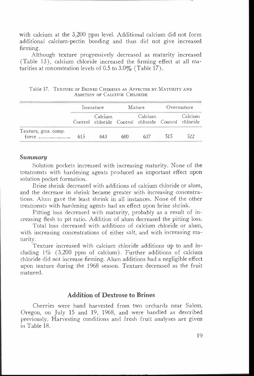with calcium at the 3,200 ppm level. Additional calcium did not form additional calcium-pectin bonding and thus did not give increased firming.

Although texture progressively decreased as maturity increased (Table 13), calcium chloride increased the firming effect at all maturities at concentration levels of 0.5 to  $3.0\%$  (Table 17).

|                     |     | Immature |     | Mature                                                        |     | Overmature |
|---------------------|-----|----------|-----|---------------------------------------------------------------|-----|------------|
|                     |     | Calcium  |     | Calcium<br>Control chloride Control chloride Control chloride |     | Calcium    |
| Texture, gms. comp. | 615 | 643      | 600 | 637                                                           | 515 | 522        |

Table 17. TEXTURE OF BRINED CHERRIES AS AFFECTED BY MATURITY AND ADDITION OF CALCIUM CHLORIDE

#### Summary

Solution pockets increased with increasing maturity. None of the treatments with hardening agents produced an important effect upon solution pocket formation.

Brine shrink decreased with additions of calcium chloride or alum, and the decrease in shrink became greater with increasing concentrations. Alum gave the least shrink in all instances. None of the other treatments with hardening agents had an effect upon brine shrink.

Pitting loss decreased with maturity, probably as a result of increasing flesh to pit ratio. Addition of alum decreased the pitting loss.

Total loss decreased with additions of calcium chloride or alum, with increasing concentrations of either salt, and with increasing maturity.

Texture increased with calcium chloride additions up to and including 1% (3,200 ppm of calcium). Further additions of calcium chloride did not increase firming. Alum additions had a negligible effect upon texture during the 1968 season. Texture decreased as the fruit matured.

# Addition of Dextrose to Brines

Cherries were hand harvested from two orchards near Salem, Oregon, on July 15 and 19, 1968, and were handled as described previously. Harvesting conditions and fresh fruit analyses are given in Table 18.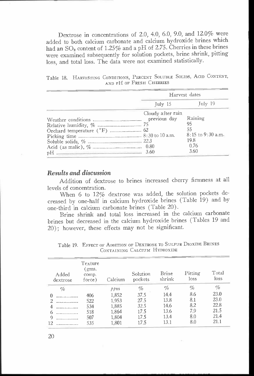Dextrose in concentrations of 2.0, 4.0, 6.0, 9.0, and 12.0% were added to both calcium carbonate and calcium hydroxide brines which had an  $SO_2$  content of 1.25% and a pH of 2.75. Cherries in these brines were examined subsequently for solution pockets, brine shrink, pitting loss, and total loss. The data were not examined statistically.

|  | Table 18. HARVESTING CONDITIONS, PERCENT SOLUBLE SOLIDS, ACID CONTENT, |                          |  |  |  |
|--|------------------------------------------------------------------------|--------------------------|--|--|--|
|  |                                                                        | AND PH OF FRESH CHERRIES |  |  |  |
|  |                                                                        |                          |  |  |  |

|                                                                                                                  |                   | Harvest dates         |
|------------------------------------------------------------------------------------------------------------------|-------------------|-----------------------|
|                                                                                                                  | $\lceil$ uly 15   | Tuly 19               |
|                                                                                                                  | Cloudy after rain |                       |
|                                                                                                                  | previous day      | Raining               |
|                                                                                                                  |                   | 95                    |
|                                                                                                                  |                   | 55                    |
|                                                                                                                  |                   | $8:15$ to $9:30$ a.m. |
|                                                                                                                  |                   | 19.8                  |
|                                                                                                                  |                   | 0.76                  |
| and the company of the company of the company of the company of the company of the company of the company of the | 3.60              | 3.60                  |

#### Results and discussion

Addition of dextrose to brines increased cherry firmness at all levels of concentration.

When 6 to 12% dextrose was added, the solution pockets decreased by one-half in calcium hydroxide brines (Table 19) and by one-third in calcium carbonate brines (Table 20).

Brine shrink and total loss increased in the calcium carbonate brines but decreased in the calcium hydroxide brines (Tables 19 and 20); however, these effects may not be significant.

| Added<br>dextrose | Texture<br>(gms.<br>comp.<br>force) | Calcium | Solution<br>pockets | Brine<br>shrink | Pitting<br>loss | Total<br>loss |
|-------------------|-------------------------------------|---------|---------------------|-----------------|-----------------|---------------|
| $\%$              |                                     | ppm     | %                   | $\%$            | %               | $\%$          |
|                   | 406                                 | 1,852   | 37.5                | 14.4            | 8.6             | 23.0          |
|                   | 522                                 | 1,953   | 27.5                | 13.8            | 8.1             | 23.0          |
|                   | 534                                 | 1,885   | 32.5                | 14.6            | 8.2             | 22.8          |
| 6                 | 518                                 | 1.864   | 17.5                | 13.6            | 7.9             | 21.5          |
| Q                 | 507                                 | 1,804   | 17.5                | 13.4            | 8.0             | 21.4          |
| 12                | 535                                 | 1,801   | 17.5                | 13.1            | 8.0             | 21.1          |

Table 19. EFFECT OF ADDITION OF DEXTROSE TO SULFUR DIOXIDE BRINES CONTAINING CALCIUM HYDROXIDE

20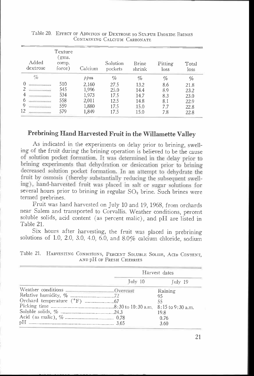|    | Added<br>dextrose | Texture<br>gms.<br>comp.<br>force) | Calcium | Solution<br>pockets | <b>Brine</b><br>shrink | Pitting<br>loss | Total<br>loss |
|----|-------------------|------------------------------------|---------|---------------------|------------------------|-----------------|---------------|
|    | %                 |                                    | ppm     | %                   | %                      | %               | %             |
|    |                   | 510                                | 2,160   | 27.5                | 13.2                   | 8.6             | 21.8          |
|    |                   | 545                                | 1.996   | 25.0                | 14.4                   | 8.9             | 23.2          |
|    |                   | 534                                | 1.973   | 17.5                | 14.7                   | 8.3             | 23.0          |
|    |                   | 558                                | 2,011   | 12.5                | 14.8                   | 8.1             | 22.9          |
| Q  |                   | 559                                | 1,880   | 17.5                | 15.0                   | 7.7             | 22.8          |
| 12 |                   | 579                                | 1,849   | 17.5                | 15.0                   | 7.8             | 22.8          |

Table 20. EFFECT OF ADDITION OF DEXTROSE TO SULFUR DIOXIDE BRINES CONTAINING CALCIUM CARBONATE

# Prebrining Hand Harvested Fruit in the Willamette Valley

of solution pocket formation. It was determined in the delay prior to brining experiments that dehydration or desiccation prior to brining decreased solution pocket formation. In an attempt to dehydrate the fruit by osmosis (thereby substantially reducing the subsequent swelling), hand-harvested fruit was placed in salt or sugar solutions for As indicated in the experiments on delay prior to brining, swelling of the fruit during the brining operation is believed to be the cause several hours prior to brining in regular  $SO<sub>2</sub>$  brine. Such brines were termed prebrines.

Fruit was hand harvested on July 10 and 19, 1968, from orchards near Salem and transported to Corvallis. Weather conditions, percent soluble solids, acid content (as percent malic), and pH are listed in Table 21.

Six hours after harvesting, the fruit was placed in prebrining solutions of 1.0, 2.0, 3.0, 4.0, 6.0, and 8.0% calcium chloride, sodium

|                    | Harvest dates |
|--------------------|---------------|
| Tulv <sub>10</sub> | Tuly 19       |
|                    | Raining       |
|                    | 95            |
|                    | 55            |
|                    |               |
|                    | 19.8          |
|                    | 0.76          |
|                    | 3.60          |

Table 21. HARVESTING CONDITIONS, PERCENT SOLUBLE SOLIDS, ACID CONTENT, AND pH OF FRESH CHERRIES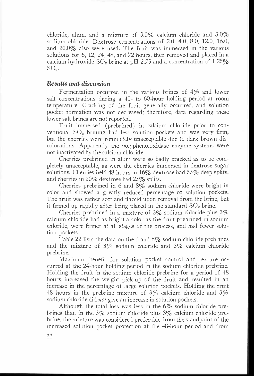chloride, alum, and a mixture of 3.0% calcium chloride and 3.0% sodium chloride. Dextrose concentrations of 2.0, 4.0, 8.0, 12.0, 16.0, and 20.0% also were used. The fruit was immersed in the various solutions for 6, 12, 24, 48, and 72 hours, then removed and placed in a calcium hydroxide-SO<sub>2</sub> brine at pH 2.75 and a concentration of  $1.25\%$  $SO<sub>2</sub>$ .

# Results and discussion

Fermentation occurred in the various brines of 4% and lower salt concentrations during a 40- to 60-hour holding period at room temperature. Cracking of the fruit generally occurred, and solution pocket formation was not decreased; therefore, data regarding these lower salt brines are not reported.

Fruit immersed (prebrined) in calcium chloride prior to conventional  $SO<sub>2</sub>$  brining had less solution pockets and was very firm, but the cherries were completely unacceptable due to dark brown discolorations. Apparently the polyphenoloxidase enzyme systems were not inactivated by the calcium chloride.

Cherries prebrined in alum were so badly cracked as to be completely unacceptable, as were the cherries immersed in dextrose sugar solutions. Cherries held 48 hours in  $16\%$  dextrose had  $55\%$  deep splits, and cherries in 20% dextrose had 25% splits.

Cherries prebrined in 6 and 8% sodium chloride were bright in color and showed a greatly reduced percentage of solution pockets. The fruit was rather soft and flaccid upon removal from the brine, but it firmed up rapidly after being placed in the standard  $SO<sub>2</sub>$  brine.

Cherries prebrined in a mixture of  $3\%$  sodium chloride plus  $3\%$ calcium chloride had as bright a color as the fruit prebrined in sodium chloride, were firmer at all stages of the process, and had fewer solution pockets.

Table 22 lists the data on the 6 and 8% sodium chloride prebrines and the mixture of 3% sodium chloride and 3% calcium chloride prebrine.

Maximum benefit for solution pocket control and texture occurred at the 24-hour holding period in the sodium chloride prebrine. Holding the fruit in the sodium chloride prebrine for a period of 48 hours increased the weight pick-up of the fruit and resulted in an increase in the percentage of large solution pockets. Holding the fruit 48 hours in the prebrine mixture of  $3\%$  calcium chloride and  $3\%$ sodium chloride did *not* give an increase in solution pockets.

Although the total loss was less in the 6% sodium chloride prebrines than in the 3% sodium chloride plus 3% calcium chloride prebrine, the mixture was considered preferable from the standpoint of the increased solution pocket protection at the 48-hour period and from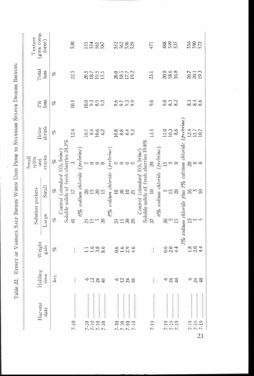|                                      | Harvest | Holding                | Weight                  | Solution pockets                            |                 | Small<br>splits<br>and                                                             | Brine                | Pit                  | Total                        | (gms. comp<br>Texture |
|--------------------------------------|---------|------------------------|-------------------------|---------------------------------------------|-----------------|------------------------------------------------------------------------------------|----------------------|----------------------|------------------------------|-----------------------|
|                                      | date    | time                   | gain                    | Large                                       | Small           | cracks                                                                             | shrink               | loss                 | $_{loss}$                    | force)                |
|                                      |         | hrs.                   | $\mathcal{C}^{\circ}$   | o                                           | $\%$            | $\eta_c$                                                                           | olo                  | $\mathcal{C}_0$      | of                           |                       |
|                                      |         |                        |                         |                                             |                 | Soluble solids of fresh cherries 24.3%<br>Control (standard SO <sub>2</sub> brime) |                      |                      |                              |                       |
| $7 - 10$                             |         | ŧ                      | ţ,                      | $\overline{4}$                              | 17              |                                                                                    | 12.4                 | 10.1                 | 22.5                         | 530                   |
|                                      |         |                        |                         |                                             |                 | 6% sodium chloride (prebrine)                                                      |                      |                      |                              |                       |
|                                      |         |                        |                         |                                             |                 |                                                                                    |                      | 10.0                 |                              |                       |
|                                      |         |                        |                         |                                             | $20 + 5$        |                                                                                    |                      |                      |                              |                       |
| $7.10$<br>$7.10$<br>$7.10$<br>$7.10$ |         | 6233                   | $1.686$<br>$1.488$      | 31.50                                       | $\frac{20}{15}$ | nooo                                                                               | 1934<br>1946<br>1942 | 9.3<br>9.8<br>9.3    | 20.7<br>20.7<br>20.7<br>20.7 | 55468                 |
|                                      |         |                        |                         |                                             |                 |                                                                                    |                      |                      |                              |                       |
|                                      |         |                        |                         |                                             |                 | 8% sodium chloride (prebrine)                                                      |                      |                      |                              |                       |
|                                      |         |                        | 0.6                     |                                             |                 |                                                                                    | 0.8243               |                      |                              | 5338                  |
| $7.10$<br>$7.10$<br>$7.10$<br>$7.10$ |         | 0.278                  |                         | 31.588                                      | 1828            | $\circ \circ \circ \circ$                                                          |                      | 0.239<br>0.000       | 2015<br>2015<br>2015<br>2019 |                       |
|                                      |         |                        | $1.6$<br>$2.9$<br>$4.6$ |                                             |                 |                                                                                    |                      |                      |                              |                       |
|                                      |         |                        |                         |                                             |                 |                                                                                    |                      |                      |                              |                       |
|                                      |         |                        |                         |                                             |                 | Soluble solids of fresh cherries 19.8%<br>Control (standard SO <sub>2</sub> brine) |                      |                      |                              |                       |
| $7 - 19$                             |         | ţ.                     | $\frac{1}{4}$           | 37                                          | $\overline{10}$ | 20                                                                                 | 13.5                 | 9.6                  | 23,1                         | 471                   |
|                                      |         |                        |                         |                                             |                 | 6% sodium chloride (prebrine)                                                      |                      |                      |                              |                       |
| $7 - 19$                             |         |                        |                         |                                             |                 |                                                                                    |                      |                      | 20.6<br>18.6<br>16.8         | 88 \$55               |
|                                      |         |                        | 0 0 4<br>0 N 4          | $8m$ in                                     | 552             | $\frac{15}{10}$ in 0                                                               | $\frac{11.0}{10.3}$  | 0. 13 13<br>0. 16 10 |                              |                       |
| $7-19$<br>$7-19$                     |         | 6848                   |                         |                                             |                 |                                                                                    |                      |                      |                              |                       |
|                                      |         |                        |                         | 3% sodium chloride plus 3% calcium chloride |                 |                                                                                    | $_{(prebrine)}$      |                      |                              |                       |
|                                      |         |                        |                         |                                             |                 |                                                                                    |                      |                      |                              | 516<br>592            |
| 7-19<br>7-19<br>7-19                 |         | $\circ$ $\frac{48}{4}$ | $\frac{2804}{204}$      | $\mathbb{R}$ in in                          | $m \geq 10$     | $R^{\circ}$                                                                        | $\frac{124}{11.7}$   | 8346<br>888          | 20.7<br>20.1<br>19.3         |                       |
| 23                                   |         |                        |                         |                                             |                 |                                                                                    |                      |                      |                              |                       |
|                                      |         |                        |                         |                                             |                 |                                                                                    |                      |                      |                              |                       |
|                                      |         |                        |                         |                                             |                 |                                                                                    |                      |                      |                              |                       |
|                                      |         |                        |                         |                                             |                 |                                                                                    |                      |                      |                              |                       |
|                                      |         |                        |                         |                                             |                 |                                                                                    |                      |                      |                              |                       |
|                                      |         |                        |                         |                                             |                 |                                                                                    |                      |                      |                              |                       |

23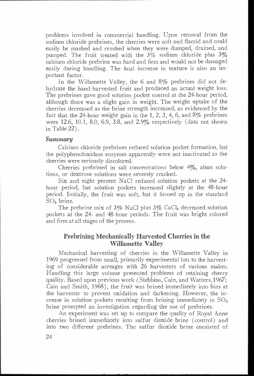problems involved in commercial handling. Upon removal from the sodium chloride prebrines, the cherries were soft and flaccid and could easily be mashed and crushed when they were dumped, drained, and pumped. The fruit treated with the  $3\%$  sodium chloride plus  $3\%$ calcium chloride prebrine was hard and firm and would not be damaged easily during handling. The final increase in texture is also an important factor.

In the Willamette Valley, the 6 and 8% prebrines did not dehydrate the hand-harvested fruit and produced an actual weight loss. The prebrines gave good solution pocket control at the 24-hour period, although there was a slight gain in weight. The weight uptake of the cherries decreased as the brine strength increased, as evidenced by the fact that the 24-hour weight gain in the 1, 2, 3, 4, 6, and  $8\%$  prebrines were 12.6, 10.1, 8.0, 6.9, 3.8, and 2.9% respectively (data not shown in Table 22).

#### Summary

Calcium chloride prebrines reduced solution pocket formation, but the polyphenoloxidase enzymes apparently were not inactivated as the cherries were seriously discolored.

Cherries prebrined in salt concentrations below 4%, alum solutions, or dextrose solutions were severely cracked.

Six and eight percent NaCl reduced solution pockets at the 24 hour period, but solution pockets increased slightly at the 48-hour period. Initially, the fruit was soft, but it firmed up in the standard SO2 brine.

The prebrine mix of  $3\%$  NaCl plus  $3\%$  CaCl<sub>2</sub> decreased solution pockets at the 24- and 48-hour periods. The fruit was bright colored and firm at all stages of the process.

# Prebrining Mechanically Harvested Cherries in the Willamette Valley

Mechanical harvesting of cherries in the Willamette Valley in 1969 progressed from small, primarily experimental lots to the harvesting of considerable acreages with 26 harvesters of various makes. Handling this large volume presented problems of retaining cherry quality. Based upon previous work (Stebbins, Cain, and Watters, 1967; Cain and Smith, 1968), the fruit was brined immediately into bins at the harvester to prevent oxidation and darkening. However, the increase in solution pockets resulting from brining immediately in  $SO<sub>2</sub>$ brine prompted an investigation regarding the use of prebrines.

An experiment was set up to compare the quality of Royal Anne cherries brined immediately into sulfur dioxide brine (control) and into two different prebrines. The sulfur dioxide brine consisted of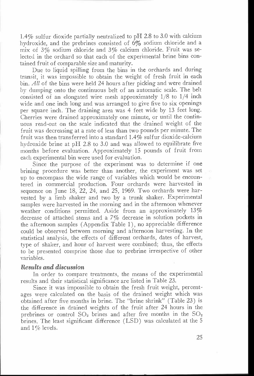1.4% sulfur dioxide partially neutralized to pH 2.8 to 3.0 with calcium hydroxide, and the prebrines consisted of 6% sodium chloride and a mix of 3% sodium chloride and 3% calcium chloride. Fruit was selected in the orchard so that each of the experimental brine bins contained fruit of comparable size and maturity.

Due to liquid spilling from the bins in the orchards and during transit, it was impossible to obtain the weight of fresh fruit in each bin. All of the bins were held 24 hours after picking and were drained by dumping onto the continuous belt of an automatic scale. The belt consisted of an elongated wire mesh approximately 1/8 to 1/4 inch wide and one inch long and was arranged to give five to six openings per square inch. The draining area was 4 feet wide by 13 feet long. Cherries were drained approximately one minute, or until the continuous read-out on the scale indicated that the drained weight of the fruit was decreasing at a rate of less than two pounds per minute. The fruit was then transferred into a standard 1.4% sulfur dioxide-calcium hydroxide brine at pH 2.8 to 3.0 and was allowed to equilibrate five months before evaluation. Approximately 15 pounds of fruit from each experimental bin were used for evaluation.

Since the purpose of the experiment was to determine if one brining procedure was better than another, the experiment was set up to encompass the wide range of variables which would be encountered in commercial production. Four orchards were harvested in sequence on June 18, 22, 24, and 25, 1969. Two orchards were harvested by a limb shaker and two by a trunk shaker. Experimental samples were harvested in the morning and in the afternoon whenever weather conditions permitted. Aside from an approximately 13% decrease of attached stems and a 7% decrease in solution pockets in the afternoon samples (Appendix Table 1), no appreciable difference could be observed between morning and afternoon harvesting. In the statistical analysis, the effects of different orchards, dates of harvest, type of shaker, and hour of harvest were combined; thus, the effects to be presented comprise those due to prebrine irrespective of other variables.

#### Results and discussion

In order to compare treatments, the means of the experimental results and their statistical significance are listed in Table 23.

Since it was impossible to obtain the fresh fruit weight, percentages were calculated on the basis of the drained weight which was obtained after five months in brine. The "brine shrink" (Table 23) is the difference in drained weights of the fruit after 24 hours in the prebrines or control  $SO_2$  brines and after five months in the  $SO_2$ brines. The least significant difference (LSD) was calculated at the 5 and 1% levels.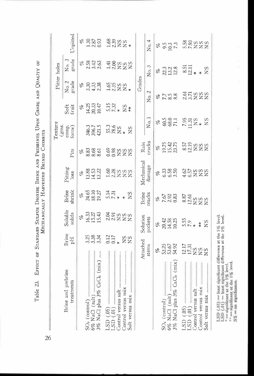|                                                                                                                                                                                                                            |                                              |                                           |                                            | MECHANICALLY HARVESTED BRINED CHERRIES                 |                                    | Texture                                                |                                |                                   | Pitter holes                                  |                             |
|----------------------------------------------------------------------------------------------------------------------------------------------------------------------------------------------------------------------------|----------------------------------------------|-------------------------------------------|--------------------------------------------|--------------------------------------------------------|------------------------------------|--------------------------------------------------------|--------------------------------|-----------------------------------|-----------------------------------------------|-----------------------------|
| Brine and prebrine<br>treatments                                                                                                                                                                                           | Brine<br>ÞЦ                                  | Soluble<br>solids                         | Brine<br>shrink                            | Pitting<br>loss                                        | Pits                               | (gms.<br>comp.<br>force)                               | Soft<br>fruit                  | No. 2<br>grade                    | No. 3<br>$_{\rm grade}$                       | Unpitted                    |
| 3% NaCl plus 3% CaCl <sub>2</sub> (mix)<br>6% NaCl (salt)<br>SO <sub>2</sub> (control)                                                                                                                                     | 3,38<br>3.34                                 | 16.37<br>15.43<br>15.43<br>olo            | 24.65<br>18.10<br>19.27<br>olo             | 13.88<br>14.53<br>13.22<br>$\mathcal{E}_{\mathcal{O}}$ | 8.83<br>8.68<br>8.61<br>olo        | 346.3<br>421.5<br>396.7                                | 14.25<br>20.33<br>10.47<br>olo | 4.33<br>3.30<br>2.38<br>olo       | 2.58<br>$3.42$<br>$2.63$<br>$\mathscr{E}_{o}$ | 2.87<br>olo<br>1.30<br>0.93 |
| LSD(0.05)<br>Salt versus mix<br>LSD(01)                                                                                                                                                                                    | 0.12<br>0.17<br>$_{\rm NS}$<br>$^{2}$<br>$*$ | 2.04<br>2.91<br><b>NSS</b><br>NSS         | $\frac{5.14}{7.31}$<br><b>NS</b><br>$\ast$ | $1.60$<br>$2.28$<br><b>SSS</b>                         | essuun<br>SõRZZ                    | $55.3$<br>$78.6$<br>$_{\rm NS}$<br><b>NS</b><br>$\ast$ | $\frac{5.15}{7.32}$<br>$X^*$   | dana<br>1230a<br>$\ast$           | $\frac{41}{200}$<br><b>NSS</b><br>NSS         | $1.88$<br>$7.828$<br>$X +$  |
|                                                                                                                                                                                                                            | Attached                                     | Solution                                  | Brine                                      | Mechanical                                             | Rain                               |                                                        |                                | Grades                            |                                               |                             |
|                                                                                                                                                                                                                            | stems                                        | pockets                                   | cracks                                     | damage                                                 | cracks                             | No.1                                                   |                                | No. 2                             | No. 3                                         | No.4                        |
| 3% NaCl plus 3% CaCl, (mix)<br>6% NaCl (salt)<br>SO <sub>2</sub> (control)                                                                                                                                                 | 53.25<br>54.92<br>ez<br>C                    | 20.42<br>14.58<br>10.25<br>ofo            | 7.67<br>2.93<br>0.83<br>olo                | 3385<br>665<br>olo                                     | 19.75<br>15.42<br>23.75<br>ofo     | 60.5<br>68.0<br>71.1<br>olo                            |                                | 7.7<br>8.38                       | 13.2<br>22.3<br>olo                           | 9.3<br>10.3<br>7.3<br>Ho    |
| Control versus mix<br>Control versus salt<br>Salt versus mix<br>LSD(05)<br>(01)<br>LSD(                                                                                                                                    | 12.17<br>17.31<br>SN<br>$^{28}_{N}$          | $\frac{5.55}{7.9}$<br>SN<br>$\frac{*}{*}$ | 8.87<br>12.61<br><b>NS<br/>NS</b>          | 4.62<br>6.57<br><b>ZZZ</b>                             | 12.19<br>8.57<br><b>SSS</b><br>SSS | 7.95<br>11.31<br>$_{\rm NS}$<br>$X^*$                  |                                | $\frac{2.61}{3.71}$<br><b>ZZZ</b> | 8.51<br>12.11<br>$^{2}$<br>$\frac{1}{2}$<br>¥ | 5.58<br><b>ZZZ</b>          |
| LSD (.05) = teast significant difference at the 5% level.<br>LSD (.01) = teast significant difference at the 1% level.<br>** = significant at the 1% level.<br>$*$ = significant at the 5% level.<br>NS = no significance. |                                              |                                           |                                            |                                                        |                                    |                                                        |                                |                                   |                                               |                             |

26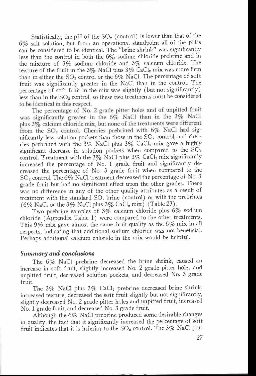to be identical in this respect. Statistically, the pH of the  $SO<sub>2</sub>$  (control) is lower than that of the 6% salt solution, but from an operational standpoint all of the pH's can be considered to be identical. The "brine shrink" was significantly less than the control in both the 6% sodium chloride prebrine and in the mixture of  $3\%$  sodium chloride and  $3\%$  calcium chloride. The texture of the fruit in the 3% NaCl plus  $3\%$  CaCl<sub>2</sub> mix was more firm than in either the  $SO_2$  control or the 6% NaCl. The percentage of soft fruit was significantly greater in the NaCl than in the control. The percentage of soft fruit in the mix was slightly (but not significantly) less than in the SO<sub>2</sub> control, so these two treatments must be considered

The percentage of No. 2 grade bitter holes and of unpitted fruit was significantly greater in the 6% NaCl than in the 3% NaCl plus 3% calcium chloride mix, but none of the treatments were different from the  $SO_2$  control. Cherries prebrined with  $6\%$  NaCl had significantly less solution pockets than those in the  $SO<sub>2</sub>$  control, and cherries prebrined with the 3% NaCl plus  $3\%$  CaCl<sub>2</sub> mix gave a highly significant decrease in solution pockets when compared to the  $SO_2$ control. Treatment with the  $3\%$  NaCl plus  $3\%$  CaCl<sub>2</sub> mix significantly increased the percentage of No. 1 grade fruit and significantly decreased the percentage of No. 3 grade fruit when compared to the  $SO<sub>2</sub>$  control. The 6% NaCl treatment decreased the percentage of No. 3 grade fruit but had no significant effect upon the other grades. There was no difference in any of the other quality attributes as a result of treatment with the standard  $SO_2$  brine (control) or with the prebrines (6% NaCl or the 3% NaCl plus  $3\%$  CaCl<sub>2</sub> mix) (Table 23).

Two prebrine samples of 3% calcium chloride plus 6% sodium chloride (Appendix Table 1) were compared to the other treatments. This 9% mix gave almost the same fruit quality as the 6% mix in all respects, indicating that additional sodium chloride was not beneficial. Perhaps additional calcium chloride in the mix would be helpful.

#### Summary and conclusions

The 6% NaCl prebrine decreased the brine shrink, caused an increase in soft fruit, slightly increased No. 2 grade pitter holes and unpitted fruit, decreased solution pockets, and decreased No. 3 grade fruit.

The  $3\%$  NaCl plus  $3\%$  CaCl<sub>2</sub> prebrine decreased brine shrink, increased texture, decreased the soft fruit slightly but not significantly, slightly decreased No. 2 grade pitter holes and unpitted fruit, increased No. 1 grade fruit, and decreased No. 3 grade fruit.

Although the 6% NaCl prebrine produced some desirable changes in quality, the fact that it significantly increased the percentage of soft fruit indicates that it is inferior to the  $SO_2$  control. The 3% NaCl plus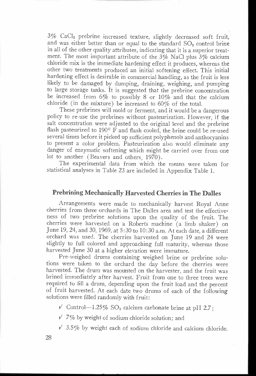3% CaCl2 prebrine increased texture, slightly decreased soft fruit, and was either better than or equal to the standard  $SO<sub>2</sub>$  control brine in all of the other quality attributes, indicating that it is a superior treatment. The most important attribute of the 3% NaCl plus 3% calcium chloride mix is the immediate hardening effect it produces, whereas the other two treatments produced an initial softening effect. This initial hardening effect is desirable in commercial handling, as the fruit is less likely to be damaged by dumping, draining, weighing, and pumping to large storage tanks. It is suggested that the prebrine concentration be increased from  $6\%$  to possibly 8 or  $10\%$  and that the calcium chloride (in the mixture) be increased to 60% of the total.

These prebrines will mold or ferment, and it would be a dangerous policy to re-use the prebrines without pasteurization. However, if the salt concentration were adjusted to the original level and the prebrine flash pasteurized to 190° F and flash cooled, the brine could be re-used several times before it picked up sufficient polyphenols and anthocyanins to present a color problem. Pasteurization also would eliminate any danger of enzymatic softening which might be carried over from one lot to another (Beavers and others, 1970).

The experimental data from which the means were taken for statistical analyses in Table 23 are included in Appendix Table 1.

# Prebrining Mechanically Harvested Cherries in The Dalles

Arrangements were made to mechanically harvest Royal Anne cherries from three orchards in The Dalles area and test the effectiveness of two prebrine solutions upon the quality of the fruit. The cherries were harvested on a Roberts machine (a limb shaker) on June 19, 24, and 30, 1969, at 5:30 to 10:30 a.m. At each date, a different orchard was used. The cherries harvested on June 19 and 24 were slightly to full colored and approaching full maturity, whereas those harvested June 30 at a higher elevation were immature.

Pre-weighed drums containing weighed brine or prebrine solutions were taken to the orchard the day before the cherries were harvested. The drum was mounted on the harvester, and the fruit was brined immediately after harvest. Fruit from one to three trees were required to fill a drum, depending upon the fruit load and the percent of fruit harvested. At each date two drums of each of the following solutions were filled randomly with fruit:

 $\sqrt{\ }$  Control-1.25% SO<sub>2</sub> calcium carbonate brine at pH 2.7;

 $\sqrt{7\%}$  by weight of sodium chloride solution; and

 $\sqrt{3.5\%}$  by weight each of sodium chloride and calcium chloride.

28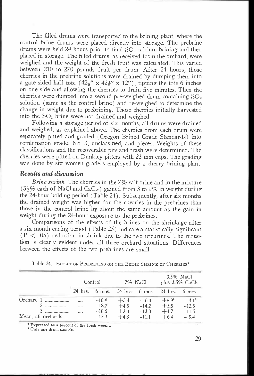The filled drums were transported to the brining plant, where the control brine drums were placed directly into storage. The prebrine drums were held 24 hours prior to final  $SO<sub>2</sub>$  calcium brining and then placed in storage. The filled drums, as received from the orchard, were weighed and the weight of the fresh fruit was calculated. This varied between 210 to 270 pounds fruit per drum. After 24 hours, those cherries in the prebrine solutions were drained by dumping them into a gate-sided half tote  $(42\frac{1}{2}$ " x  $42\frac{1}{2}$ " x 12"), tipping the tote 6 inches on one side and allowing the cherries to drain five minutes. Then the cherries were dumped into a second pre-weighed drum containing  $SO_2$ solution (same as the control brine) and re-weighed to determine the change in weight due to prebrining. Those cherries initially harvested into the SO<sub>2</sub> brine were not drained and weighed.

Following a storage period of six months, all drums were drained and weighed, as explained above. The cherries from each drum were separately pitted and graded (Oregon Brined Grade Standards) into combination grade, No. 3, unclassified, and pieces. Weights of these classifications and the recoverable pits and trash were determined. The cherries were pitted on Dunkley pitters with 23 mm cups. The grading was done by six women graders employed by a cherry brining plant.

## Results and discussion

Brine shrink. The cherries in the  $7\%$  salt brine and in the mixture ( $3\frac{1}{6}$ % each of NaCl and CaCl<sub>2</sub>) gained from 3 to 9% in weight during the 24-hour holding period (Table 24). Subsequently, after six months the drained weight was higher for the cherries in the prebrines than those in the control brine by about the same amount as the gain in weight during the 24-hour exposure to the prebrines.

Comparisons of the effects of the brines on the shrinkage after a six-month curing period (Table 25) indicate a statistically significant  $(P < .05)$  reduction in shrink due to the two prebrines. The reduction is clearly evident under all three orchard situations. Differences between the effects of the two prebrines are small.

|                    | Control |                                                                            | 7% NaCl      | plus $3.5\%$ CaCl <sub>2</sub> | $3.5\%$ NaCl      |
|--------------------|---------|----------------------------------------------------------------------------|--------------|--------------------------------|-------------------|
|                    |         | $24 \text{ hrs.}$ 6 mos. $24 \text{ hrs.}$ 6 mos. $24 \text{ hrs.}$ 6 mos. |              |                                |                   |
| Orchard 1          | $-10.4$ | $+5.4$                                                                     | $-6.0$       |                                | $+8.9^2$ $-4.1^2$ |
| 2                  | $-18.7$ |                                                                            | $+4.5 -14.2$ | $+5.5 -12.5$                   |                   |
|                    | $-18.6$ | $+3.0$                                                                     | $-13.0$      | $+4.7$                         | $-11.5$           |
| Mean, all orchards | $-15.9$ | $+4.3$                                                                     | $-11.1$      | $+6.4$                         | $-9.4$            |

Table 24. EFFECT OF PREBRINING ON THE BRINE SHRINK OF CHERRIES'

<sup>1</sup> Expressed as a percent of the fresh weight.

2 Only one drum sample.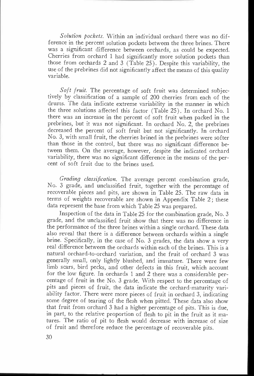Solution pockets. Within an individual orchard there was no difference in the percent solution pockets between the three brines. There was a significant difference between orchards, as could be expected. Cherries from orchard 1 had significantly more solution pockets than those from orchards 2 and 3 (Table 25). Despite this variability, the use of the prebrines did not significantly affect the means of this quality variable.

Soft fruit. The percentage of soft fruit was determined subjectively by classification of a sample of 200 cherries from each of the drums. The data indicate extreme variability in the manner in which the three solutions affected this factor (Table 25). In orchard No. 1 there was an increase in the percent of soft fruit when packed in the prebrines, but it was not significant. In orchard No. 2, the prebrines decreased the percent of soft fruit but not significantly. In orchard No. 3, with small fruit, the cherries brined in the prebrines were softer than those in the control, but there was no significant difference between them. On the average, however, despite the indicated orchard variability, there was no significant difference in the means of the percent of soft fruit due to the brines used.

Grading classification. The average percent combination grade, No. 3 grade, and unclassified fruit, together with the percentage of recoverable pieces and pits, are shown in Table 25. The raw data in terms of weights recoverable are shown in Appendix Table 2; these data represent the base from which Table 25 was prepared.

Inspection of the data in Table 25 for the combination grade, No. 3 grade, and the unclassified fruit show that there was no difference in the performance of the three brines within a single orchard. These data also reveal that there is a difference between orchards within a single brine. Specifically, in the case of No. 3 grades, the data show a very real difference between the orchards within each of the brines. This is a natural orchard-to-orchard variation, and the fruit of orchard 3 was generally small, only lightly blushed, and immature. There were few limb scars, bird pecks, and other defects in this fruit, which account for the low figure. In orchards 1 and 2 there was a considerable percentage of fruit in the No. 3 grade. With respect to the percentage of pits and pieces of fruit, the data indicate the orchard-maturity variability factor. There were more pieces of fruit in orchard 3, indicating some degree of tearing of the flesh when pitted. These data also show that fruit from orchard 3 had a higher percentage of pits. This is due, in part, to the relative proportion of flesh to pit in the fruit as it matures. The ratio of pit to flesh would decrease with increase of size of fruit and therefore reduce the percentage of recoverable pits.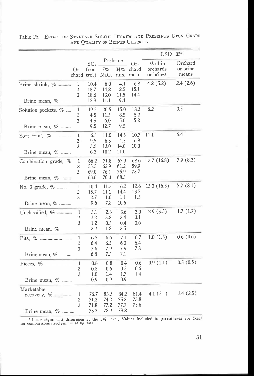|                                            |                                     |                                           |                                |                              |                        | $LSD$ .05 <sup>1</sup>          |                              |
|--------------------------------------------|-------------------------------------|-------------------------------------------|--------------------------------|------------------------------|------------------------|---------------------------------|------------------------------|
|                                            | Or-                                 | SO <sub>2</sub><br>$(con-$<br>chard trol) | Prebrine<br>7%<br>NaCl         | $3\frac{1}{2}\%$<br>mix      | $Or-$<br>chard<br>mean | Within<br>orchards<br>or brines | Orchard<br>or brine<br>means |
| Brine shrink, %<br>Brine mean, $\%$        | 1<br>2<br>3                         | 10.4<br>18.7<br>18.6<br>15.9              | 6.0<br>14.2<br>13.0<br>11.1    | 4.1<br>12.5<br>11.5<br>9.4   | 6.8<br>15.1<br>14.4    | 4.2(5.2)                        | 2.4(2.6)                     |
| Solution pockets, %<br>Brine mean, $\%$    | 1<br>$\overline{c}$<br>3            | 19.5<br>4.5<br>4.5<br>9.5                 | 20.5<br>11.5<br>6.0<br>12.7    | 15.0<br>8.5<br>5.0<br>9.5    | 18.3<br>8.2<br>5.2     | 6.2                             | 3.5                          |
| Soft fruit, %<br>Brine mean, %             | $\mathbf{1}$<br>$\overline{c}$<br>3 | 6.5<br>9.5<br>3.0<br>6.3                  | 11.0<br>6.5<br>13.0<br>10.2    | 14.5<br>4.5<br>14.0<br>11.0  | 10.7<br>6.8<br>10.0    | 11.1                            | 6.4                          |
| Combination grade, %<br>Brine mean, $%$    | 1<br>2<br>3                         | 66.2<br>55.5<br>69.0<br>63.6              | 71.8<br>62.9<br>76.1<br>70.3   | 67.9<br>61.2<br>75.9<br>68.3 | 68.6<br>59.9<br>73.7   | 13.7(16.8)                      | 7.9(8.3)                     |
| No. 3 grade, %<br>Brine mean, %            | $\mathbf{1}$<br>2<br>3              | 10.4<br>15.7<br>2.7<br>9.6                | 11.3<br>11.1<br>$1.0\,$<br>7.8 | 16.2<br>14.4<br>1,1<br>10.6  | 12.6<br>13.7<br>1.3    | 13.3(16.3)                      | 7.7(8.1)                     |
| Unclassified, %<br>Brine mean, $\%$        | $\mathbf 1$<br>2<br>3               | 3.1<br>2.2<br>1.2<br>2.2                  | 2.3<br>3.8<br>0.3<br>1.8       | 3.6<br>3.4<br>0.4<br>2.5     | 3.0<br>3.1<br>0.6      | 2.9(3.5)                        | 1.7(1.7)                     |
| Brine mean, $\%$                           | 1<br>$\overline{c}$<br>3            | 6.5<br>6.4<br>7.6<br>6.8                  | 6.6<br>6.5<br>7.9<br>7.3       | 7.1<br>6.3<br>7.9<br>7.1     | 6.7<br>6.4<br>7.8      | 1.0(1.3)                        | 0.6(0.6)                     |
| Brine mean, %                              | 1<br>2<br>3                         | 0.8<br>0.8<br>1.0<br>0.9                  | 0.8<br>0.6<br>1.4<br>0.9       | 0.4<br>0.5<br>1.7<br>0.9     | 0.6<br>0.6<br>1.4      | 0.9(1.1)                        | 0.5(0.5)                     |
| Marketable<br>recovery, %<br>Brine mean, % | 1<br>$\overline{c}$<br>3            | 76.7<br>71.3<br>71.8<br>73.3              | 83.3<br>74.2<br>77.2<br>78.2   | 84.2<br>75.2<br>77.7<br>79.2 | 81.4<br>73.8<br>75.6   | 4.1(5.1)                        | 2.4(2.5)                     |

Table 25. EFFECT OF STANDARD SULFUR DIOXIDE AND PREBRINES UPON GRADE AND QUALITY OF BRINED CHERRIES

1 Least significant difference at the 5% level. Values included in parentheses are exact for comparisons involving missing data.

á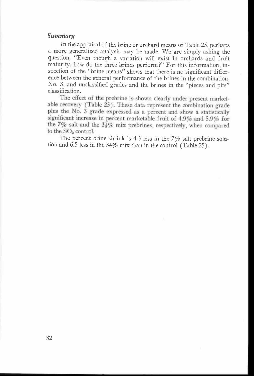#### Summary

In the appraisal of the brine or orchard means of Table 25, perhaps a more generalized analysis may be made. We are simply asking the question, "Even though a variation will exist in orchards and fruit maturity, how do the three brines perform?" For this information, inspection of the "brine means" shows that there is no significant difference between the general performance of the brines in the combination, No. 3, and unclassified grades and the brines in the "pieces and pits" classification.

The effect of the prebrine is shown clearly under present marketable recovery (Table 25). These data represent the combination grade plus the No. 3 grade expressed as a percent and show a statistically significant increase in percent marketable fruit of  $4.9\%$  and  $5.9\%$  for the 7% salt and the  $3\frac{1}{6}$ % mix prebrines, respectively, when compared to the SO<sub>2</sub> control.

The percent brine shrink is 4.5 less in the 7% salt prebrine solution and 6.5 less in the  $3\frac{1}{2}\%$  mix than in the control (Table 25).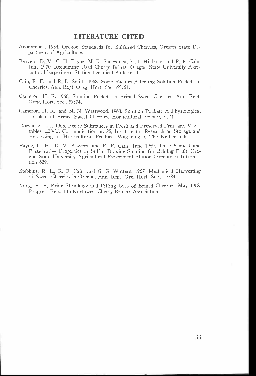#### LITERATURE CITED

- Anonymous. 1954. Oregon Standards for Sulfured Cherries, Oregon State Department of Agriculture.
- Beavers, D. V., C. H. Payne, M. R. Soderquist, K. I. Hildrum, and R. F. Cain. June 1970. Reclaiming Used Cherry Brines. Oregon State University Agricultural Experiment Station Technical Bulletin 111.
- Cain, R. F., and  $R_{+}$  L. Smith. 1968. Some Factors Affecting Solution Pockets in Cherries. Ann. Rept. Oreg. Hort. Soc., 60:61.
- Cameron, H. R. 1966 Solution Pockets in Brined Sweet Cherries. Ann. Rept. Oreg. Hort. Soc., 58:74.
- Cameron, H. R., and M. N. Westwood. 1968. Solution Pocket: A Physiological Problem of Brined Sweet Cherries. Horticultural Science, 3(2).
- Doesburg, J. J. 1965. Pectic Substances in Fresh and Preserved Fruit and Vegetables, IBVT. Communication nr. 25, Institute for Research on Storage and Processing of Horticultural Produce, Wageningen, The Netherlands.
- Payne, C. H., D. V. Beavers, and R. F. Cain. June 1969. The Chemical and Preservative Properties of Sulfur Dioxide Solution for Brining Fruit. Oregon State University Agricultural Experiment Station Circular of Information 629.
- Stebbins, R. L., R. F. Cain, and G. G. Watters 1967. Mechanical Harvesting of Sweet Cherries in Oregon. Ann. Rept. Ore Hort. Soc., 59:84.
- Yang, H. Y. Brine Shrinkage and Pitting Loss of Brined Cherries. May 1968. Progress Report to Northwest Cherry Briners Association.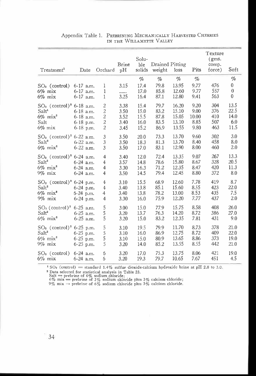| Treatment <sup>1</sup>                  | Date          | Orchard          | Brine<br>pH | Solu-<br>ble<br>solids | Drained Pitting<br>weight | loss  | Pits  | Texture<br>(gms.<br>comp.<br>force) | Soft         |
|-----------------------------------------|---------------|------------------|-------------|------------------------|---------------------------|-------|-------|-------------------------------------|--------------|
|                                         |               |                  |             | %                      | %                         | $\%$  | %     |                                     | $\%$         |
| $SO2$ (control)                         | $6-17$ a.m.   | 1                | 3.15        | 17.4                   | 79.8                      | 13.95 | 9.77  | 476                                 | $\bf{0}$     |
| $6\%$ mix                               | 6-17 a.m.     | $\mathbf{1}$     |             | 17.0                   | 85.8                      | 12.60 | 9.77  | 557                                 | 0            |
| $6\%$ mix                               | $6-17$ a.m.   | 1                | 3.25        | 16.4                   | 87.1                      | 12.80 | 9.41  | 563                                 | $\mathbf{0}$ |
| $SO_2$ (control) <sup>2</sup> 6-18 a.m. |               | $\overline{c}$   | 3.38        | 15.4                   | 79.7                      | 16.20 | 9.20  | 304                                 | 13.5         |
| Salt <sup>1</sup>                       | $6-18$ a.m.   | $\sqrt{2}$       | 3.50        | 15.0                   | 83.2                      | 15.10 | 9.00  | 376                                 | 22.5         |
| $6\%$ mix <sup>2</sup>                  | $6-18$ a.m.   | $\boldsymbol{2}$ | 3.52        | 15.5                   | 87.8                      | 15.05 | 10.00 | 410                                 | 14.0         |
| Salt                                    | $6-18$ p.m.   | $\sqrt{2}$       | 3.40        | 16.0                   | 83.5                      | 13.10 | 8.85  | 507                                 | 6.0          |
| $6\%$ mix                               | $6-18$ p.m.   | $\overline{c}$   | 3.45        | 15.2                   | 86.9                      | 13.55 | 9.80  | 463                                 | 11.5         |
| $SO2$ (control) <sup>2</sup> 6-22 a.m.  |               | 3                | 3.50        | 20.0                   | 73.3                      | 13.70 | 9.60  | 302                                 | 3.0          |
| Salt <sup>2</sup>                       | $6-22$ a.m.   | 3                | 3.50        | 18.3                   | 81.3                      | 13.70 | 8.40  | 458                                 | 8.0          |
| $6\%$ mix <sup>2</sup>                  | $6-22$ a.m.   | 3                | 3.50        | 17.0                   | 83.1                      | 12.90 | 8.00  | 460                                 | 2.0          |
| $SO2$ (control) <sup>2</sup> 6-24 a.m.  |               | $\overline{4}$   | 3.40        | 12.0                   | 72.4                      | 13.35 | 9.07  | 267                                 | 13.3         |
| Salt <sup>2</sup>                       | 6-24 a.m.     | $\overline{4}$   | 3.57        | 14.8                   | 78.6                      | 15.80 | 8.67  | 328                                 | 20.5         |
| $6\%$ mix <sup>2</sup>                  | 6-24 a.m.     | $\overline{4}$   | 3.30        | 16.3                   | 71.2                      | 12.35 | 8.47  | 420                                 | 11.3         |
| $9\%$ mix                               | $6-24$ a.m.   | $\overline{4}$   | 3.50        | 14.5                   | 79.4                      | 12.45 | 8.80  | 372                                 | 8.0          |
| $SO_2$ (control) <sup>2</sup> 6-24 p.m. |               | $\overline{4}$   | 3.10        | 15.5                   | 68.9                      | 12.60 | 7.78  | 419                                 | 8.7          |
| Salt <sup>2</sup>                       | 6-24 p.m.     | $\overline{4}$   | 3.40        | 13.8                   | 85.1                      | 15.60 | 8.55  | 423                                 | 22.0         |
| $6\%$ mix <sup>2</sup>                  | $6-24$ p.m.   | 4                | 3.40        | 13.8                   | 78.2                      | 13.00 | 8.53  | 435                                 | 7.5          |
| $9\%$ mix                               | $6-24$ p.m.   | 4                | 3.30        | 16.0                   | 75.9                      | 12.20 | 7.77  | 437                                 | 2.0          |
| $SO_2$ (control) <sup>2</sup> 6-25 a.m. |               | 5                | 3.00        | 15.0                   | 77.9                      | 15.75 | 8.58  | 408                                 | 26.0         |
| Salt <sup>2</sup>                       | $6-25$ a.m.   | 5                | 3.20        | 13.7                   | 76.3                      | 14.20 | 8.72  | 386                                 | 27.0         |
| $6\%$ mix <sup>2</sup>                  | $6-25$ a.m.   | 5                | 3.20        | 15.0                   | 83.2                      | 12.35 | 7.81  | 431                                 | 9.0          |
| $SO2$ (control) <sup>2</sup> 6-25 p.m.  |               | $\frac{5}{5}$    | 3.10        | 19.5                   | 79.9                      | 11.70 | 8.73  | 378                                 | 21.0         |
| Salt <sup>2</sup>                       | $6-25$ p.m.   |                  | 3.10        | 16.0                   | 86.9                      | 12.75 | 8.72  | 409                                 | 22.0         |
| $6\%$ mix <sup>2</sup>                  | $6-25$ p.m.   | 5                | 3.10        | 15.0                   | 80.9                      | 13.65 | 8.86  | 373                                 | 19.0         |
| $9\%$ mix                               | $6 - 25$ p.m. | 5                | 3.20        | 14.0                   | 85.2                      | 13.55 | 8.55  | 442                                 | 21.0         |
| $SO2$ (control)                         | $6-24$ a.m.   | 6                | 3.20        | 17.0                   | 75.3                      | 13.75 | 8.06  | 421                                 | 19.0         |
| $6\%$ mix                               | $6-24$ a.m.   | 6                | 3.20        | 19.3                   | 79.7                      | 10.65 | 7.67  | 451                                 | 4.5          |

#### Appendix Table 1. PREBRINING MECHANICALLY HARVESTED CHERRIES IN THE WILLAMETTE VALLEY

 $1$  SO<sub>2</sub> (control) = standard 1.4% sulfur dioxide-calcium hydroxide brine at pH 2.8 to 3.0.

<sup>2</sup> Data selected for statistical analysis in Table 23.<br>Salt = prebrine of 6% sodium chloride;<br>6% mix = prebrine of 6% sodium chloride plus 3% calcium chloride;<br>9% mix = prebrine of 6% sodium chloride plus 3% calcium chlo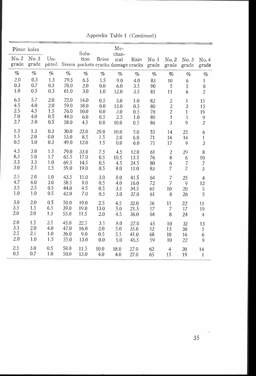|                | Pitter holes  |                 |              | Solu-                                            |              | Me-<br>chan- |            |          |                                  |                     |                            |
|----------------|---------------|-----------------|--------------|--------------------------------------------------|--------------|--------------|------------|----------|----------------------------------|---------------------|----------------------------|
| No. 2<br>grade | No.3<br>grade | $Un-$<br>pitted |              | tion<br>Stems pockets cracks damage cracks grade | <b>Brine</b> | ical         | Rain       | No.1     | No. 2<br>grade                   | No.3<br>grade       | No.4<br>grade              |
| $\%$           | $\%$          | $\%$            | $\%$         | $\%$                                             | $\%$         | $\%$         | $\%$       | $\%$     | $\%$                             | $\%$                | $\%$                       |
| 2.0            | 0.3           | 1.3             | 79.5         | 6.5                                              | 1.5          | 9.0          | 4.0        | 83       | $10\,$                           | 6                   | 1                          |
| 0.3<br>1.0     | 0.7<br>0.5    | 0.3<br>0.3      | 70.0<br>61.0 | 2.0<br>3.0                                       | 0.0<br>1.0   | 6.0<br>12.0  | 3.5<br>3.5 | 90<br>81 | 5<br>11                          | 5<br>6              | $\bf{0}$<br>$\overline{c}$ |
| 6.5            | 5.7           | 2.0             | 72.0         | 14.0                                             |              |              |            |          |                                  |                     |                            |
| 4.5            | 4.0           | 2.0             | 59.0         | 18.0                                             | 0.5<br>0.0   | 3.0<br>13.0  | 1.0<br>0.5 | 82<br>80 | $\overline{c}$<br>$\overline{c}$ | 1<br>$\overline{3}$ | 15<br>15                   |
| 2.5            | 4.5           | 1.5             | 76.0         | 10.0                                             | $0.0\,$      | 3.0          | 0.5        | 78       | $\overline{c}$                   | $\mathbf{1}$        | 19                         |
| 7.0            | 4.0           | 0.5             | 44.0         | 6.0                                              | 0.5          | 2.5          | 1.0        | 89       | $\,1$                            | $\mathbf{1}$        | 9                          |
| 2.7            | 3.0           | 0.5             | 58.0         | 4.5                                              | 0.0          | 10.0         | 0.5        | 86       | $\overline{3}$                   | 9                   | $\overline{c}$             |
| 1.3            | 1.3           | 0.3             | 30.0         | 23.0                                             | 29.0         | 10.0         | 5.0        | 55       | 14                               | 25                  | 6                          |
| 1.5            | 2.0           | 0.0             | 53.0         | 8.5                                              | 1.5          | 2.0          | 6.0        | 71       | 14                               | 14                  | $\mathbf 1$                |
| 0.5            | 1.0           | 0.3             | 49.0         | 12.0                                             | 1.5          | 0.0          | 6.0        | 71       | 17                               | 9                   | $\mathfrak{Z}$             |
| 4.5            | 3.0           | 1.5             | 79.0         | 33.0                                             | 7.5          | 4.5          | 12.0       | 61       | $\overline{c}$                   | 29                  | 8                          |
| 8.5            | 5.0           | 1.7             | 65.5         | 17.0                                             | 0.5          | 10.5         | 13.5       | 76       | $\,$ 8 $\,$                      | 6                   | 10                         |
| 3.3            | 3.3           | 1.0             | 69.5         | 14.5                                             | 0.5          | 4.5          | 24.5       | 80       | 6                                | $\overline{7}$      | $\overline{\phantom{a}}$   |
| 3.0            | 2.5           | 1.5             | 59.0         | 19.0                                             | 0.5          | 8.0          | 11.0       | 83       | $\overline{7}$                   | 7                   | $\mathfrak{Z}$             |
| 2.5            | 2.0           | 1.0             | 43.5         | 11.0                                             | 3.0          | 8.0          | 41.5       | 64       | $\overline{7}$                   | 25                  | $\overline{4}$             |
| 4.7            | 6.0           | 3.0             | 58.5         | 9.0                                              | 0.5          | 4.0          | 16.0       | 72       | $\overline{7}$                   | 9                   | 12                         |
| 3.5<br>1.0     | 2.5<br>1.0    | 0.5<br>0.5      | 44.0<br>42.0 | 4.5<br>7.0                                       | 0.5<br>0.5   | 3.5<br>3.0   | 34.5       | 65       | 10                               | 20                  | $\mathsf S$                |
|                |               |                 |              |                                                  |              |              | 37.0       | 61       | 8                                | 26                  | 5                          |
| 3.0            | 2.0           | 0.5             | 50.0         | 19.0                                             | 2.5          | 4.5          | 32.0       | 56       | 11                               | 22                  | 11                         |
| 3.5<br>2.0     | 1.5<br>2.0    | 6.5<br>1.3      | 39.0         | 19.0                                             | 13.0         | 5.0          | 21.5       | 57       | 7                                | 17                  | 19                         |
|                |               |                 | 55.0         | 11.5                                             | 2.0          | 4.5          | 36.0       | 64       | 8                                | 24                  | $\overline{4}$             |
| 2.0            | 1.5           | 2.5             | 45.0         | 22.5                                             | 3.5          | 8.0          | 27.0       | 45       | 10                               | 32                  | 13                         |
| 3.3            | 2.0           | 4.0             | 47.0         | 16.0                                             | 2.0          | 5.0          | 35.0       | 52       | 13                               | 30                  | 5                          |
| 2.5<br>2.0     | 2.5           | 1.0             | 36.0         | 9.0                                              | 0.5          | 5.5          | 41.0       | 68       | $10\,$                           | 16                  | 6                          |
|                | 1.0           | 1.5             | 55.0         | 13.0                                             | 0.0          | 5.0          | 45.5       | 59       | 10                               | 22                  | 9                          |
| 2.5            | 3.0           | 0.5             | 58.0         | 11.5                                             | 10.0         | 18.0         | 27.0       | 62       | $\overline{4}$                   | 20                  | 14                         |
| 0.5            | 0.7           | 1.0             | 50.0         | 13.0                                             | 4.0          | 4.0          | 27.0       | 65       | 15                               | 19                  | $\mathbf{1}$               |

Appendix Table 1 (Continued)

 $\alpha$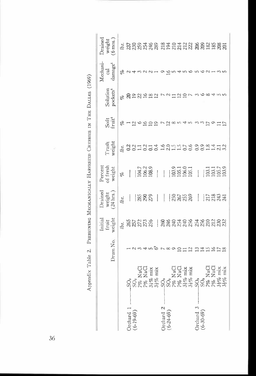|                 | Initial                                                                                                                                                                                                                                                                                                                                                                                                                                                                              | Drained                                    | Percen                                                                                                                   |                                                                                                                                                                                                                                                                                     |                                                        |                                                                       | Mechani-                                                                                              | Drained                                                |
|-----------------|--------------------------------------------------------------------------------------------------------------------------------------------------------------------------------------------------------------------------------------------------------------------------------------------------------------------------------------------------------------------------------------------------------------------------------------------------------------------------------------|--------------------------------------------|--------------------------------------------------------------------------------------------------------------------------|-------------------------------------------------------------------------------------------------------------------------------------------------------------------------------------------------------------------------------------------------------------------------------------|--------------------------------------------------------|-----------------------------------------------------------------------|-------------------------------------------------------------------------------------------------------|--------------------------------------------------------|
|                 |                                                                                                                                                                                                                                                                                                                                                                                                                                                                                      |                                            |                                                                                                                          |                                                                                                                                                                                                                                                                                     |                                                        |                                                                       |                                                                                                       | weight                                                 |
|                 |                                                                                                                                                                                                                                                                                                                                                                                                                                                                                      |                                            |                                                                                                                          |                                                                                                                                                                                                                                                                                     |                                                        |                                                                       |                                                                                                       | $(6 \text{mos.})$                                      |
|                 | lbs.                                                                                                                                                                                                                                                                                                                                                                                                                                                                                 | lbs.                                       | olo                                                                                                                      | lbs.                                                                                                                                                                                                                                                                                |                                                        |                                                                       |                                                                                                       |                                                        |
|                 |                                                                                                                                                                                                                                                                                                                                                                                                                                                                                      | ļ                                          |                                                                                                                          |                                                                                                                                                                                                                                                                                     |                                                        |                                                                       |                                                                                                       |                                                        |
|                 |                                                                                                                                                                                                                                                                                                                                                                                                                                                                                      |                                            |                                                                                                                          |                                                                                                                                                                                                                                                                                     |                                                        |                                                                       |                                                                                                       |                                                        |
|                 |                                                                                                                                                                                                                                                                                                                                                                                                                                                                                      |                                            |                                                                                                                          |                                                                                                                                                                                                                                                                                     |                                                        |                                                                       |                                                                                                       |                                                        |
|                 |                                                                                                                                                                                                                                                                                                                                                                                                                                                                                      |                                            |                                                                                                                          |                                                                                                                                                                                                                                                                                     |                                                        |                                                                       |                                                                                                       |                                                        |
|                 |                                                                                                                                                                                                                                                                                                                                                                                                                                                                                      |                                            |                                                                                                                          |                                                                                                                                                                                                                                                                                     |                                                        |                                                                       |                                                                                                       |                                                        |
|                 |                                                                                                                                                                                                                                                                                                                                                                                                                                                                                      | $\mathbf{I}$                               |                                                                                                                          |                                                                                                                                                                                                                                                                                     |                                                        |                                                                       |                                                                                                       |                                                        |
|                 |                                                                                                                                                                                                                                                                                                                                                                                                                                                                                      |                                            |                                                                                                                          |                                                                                                                                                                                                                                                                                     |                                                        |                                                                       |                                                                                                       |                                                        |
|                 |                                                                                                                                                                                                                                                                                                                                                                                                                                                                                      |                                            |                                                                                                                          |                                                                                                                                                                                                                                                                                     |                                                        |                                                                       |                                                                                                       |                                                        |
|                 |                                                                                                                                                                                                                                                                                                                                                                                                                                                                                      |                                            |                                                                                                                          |                                                                                                                                                                                                                                                                                     |                                                        |                                                                       |                                                                                                       |                                                        |
|                 |                                                                                                                                                                                                                                                                                                                                                                                                                                                                                      |                                            |                                                                                                                          |                                                                                                                                                                                                                                                                                     |                                                        |                                                                       |                                                                                                       |                                                        |
|                 |                                                                                                                                                                                                                                                                                                                                                                                                                                                                                      |                                            |                                                                                                                          |                                                                                                                                                                                                                                                                                     |                                                        |                                                                       |                                                                                                       |                                                        |
|                 |                                                                                                                                                                                                                                                                                                                                                                                                                                                                                      |                                            |                                                                                                                          |                                                                                                                                                                                                                                                                                     |                                                        |                                                                       |                                                                                                       |                                                        |
|                 |                                                                                                                                                                                                                                                                                                                                                                                                                                                                                      |                                            |                                                                                                                          |                                                                                                                                                                                                                                                                                     |                                                        |                                                                       |                                                                                                       | s haannaa dadaan aan san sa                            |
|                 |                                                                                                                                                                                                                                                                                                                                                                                                                                                                                      |                                            |                                                                                                                          |                                                                                                                                                                                                                                                                                     |                                                        |                                                                       |                                                                                                       |                                                        |
|                 |                                                                                                                                                                                                                                                                                                                                                                                                                                                                                      |                                            |                                                                                                                          |                                                                                                                                                                                                                                                                                     |                                                        |                                                                       |                                                                                                       |                                                        |
|                 |                                                                                                                                                                                                                                                                                                                                                                                                                                                                                      |                                            |                                                                                                                          |                                                                                                                                                                                                                                                                                     |                                                        |                                                                       |                                                                                                       |                                                        |
|                 |                                                                                                                                                                                                                                                                                                                                                                                                                                                                                      |                                            |                                                                                                                          |                                                                                                                                                                                                                                                                                     |                                                        |                                                                       |                                                                                                       |                                                        |
|                 |                                                                                                                                                                                                                                                                                                                                                                                                                                                                                      |                                            |                                                                                                                          |                                                                                                                                                                                                                                                                                     |                                                        |                                                                       |                                                                                                       |                                                        |
|                 |                                                                                                                                                                                                                                                                                                                                                                                                                                                                                      |                                            |                                                                                                                          |                                                                                                                                                                                                                                                                                     |                                                        |                                                                       |                                                                                                       |                                                        |
|                 |                                                                                                                                                                                                                                                                                                                                                                                                                                                                                      |                                            |                                                                                                                          |                                                                                                                                                                                                                                                                                     |                                                        |                                                                       |                                                                                                       |                                                        |
| SO <sub>2</sub> | Drum No.<br>$\alpha$ a $\alpha$ a $\alpha$ or $\alpha$ or $\alpha$ and $\alpha$ $\alpha$ and $\alpha$ and $\alpha$<br>.50 <sub>2</sub><br>SO <sub>2</sub><br>7% NaCl<br>7% NaCl<br>7% mix<br>33% mix<br>$\frac{50}{7\%}$ NaCl $\frac{7\%}{3\%}$ NaCl $\frac{7\%}{3\%}$ mix<br>$\frac{3\%}{3\%}$ mix<br>$\begin{array}{l} 50_2 \\ 50_3 \\ 7\% \text{ NaCl} \\ 7\% \text{ NaCl} \\ 3\frac{1}{2}\% \text{ mix} \\ 3\frac{1}{2}\% \text{ mix} \\ 3\frac{1}{2}\% \text{ mix} \end{array}$ | weight<br><b>267236</b><br>257235<br>fruit | weight<br>(24 hrs.)<br>$\frac{1888}{882}$<br>18888<br>÷<br>$\frac{1}{2} \frac{2}{3} \frac{2}{3} \frac{3}{3} \frac{4}{3}$ | of fresh<br>weight<br>$\frac{104.7}{106.2}$<br>$\begin{matrix} 103.9 \\ 105.1 \\ 106.1 \\ 105.1 \\ 105.1 \\ \end{matrix}$<br>$\begin{array}{c} 13.1 \\ 13.1 \\ 13.5 \\ 13.7 \\ 13.9 \\ 13.9 \\ 13.9 \\ 13.9 \\ \end{array}$<br>$\frac{1}{2}$<br>$\frac{1}{2}$<br>$\frac{1}{2}$<br>I | ${\rm Trash}\atop {\bf weight}$<br>221214 981159282113 | Soft<br>fruit <sup>1</sup><br>$8 - 29 - 29$<br>r Z sow 4 m ww H o H H | Solution<br>pockets <sup>1</sup><br>% guzana<br>$\sim$ $\sim$ $\sim$ $\sim$ $\sim$<br>$\sim$ $\infty$ | cal<br>damage <sup>1</sup><br>% 243221<br>ogntnonon-nn |